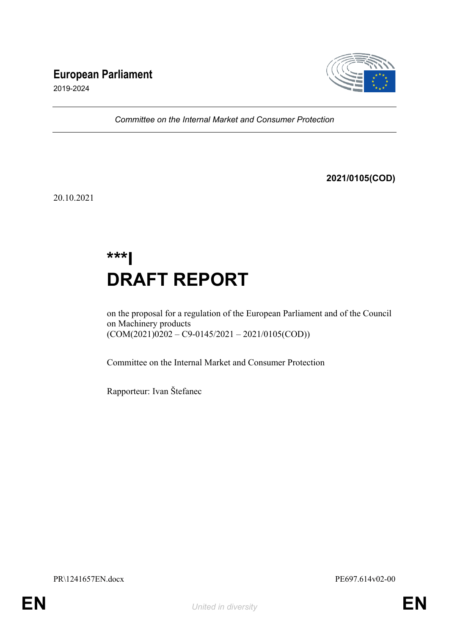# **European Parliament**



2019-2024

*Committee on the Internal Market and Consumer Protection*

**2021/0105(COD)**

20.10.2021

# **\*\*\*I DRAFT REPORT**

on the proposal for a regulation of the European Parliament and of the Council on Machinery products  $(COM(2021)0202 - C9 - 0145/2021 - 2021/0105(COD))$ 

Committee on the Internal Market and Consumer Protection

Rapporteur: Ivan Štefanec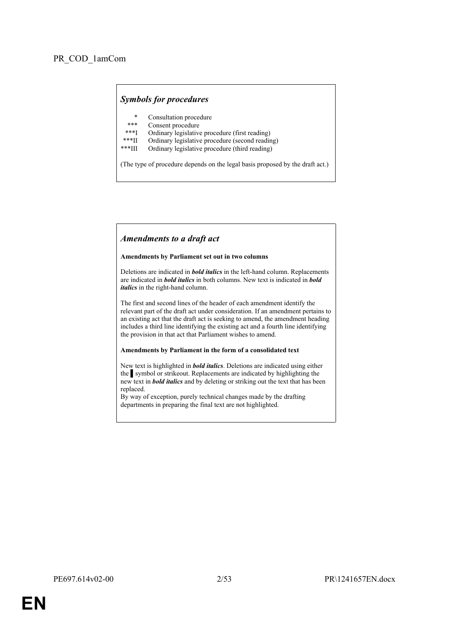### *Symbols for procedures*

- \* Consultation procedure
- Consent procedure
- \*\*\*I Ordinary legislative procedure (first reading)<br>\*\*\*II Ordinary legislative procedure (second reading)
- \*\*\*II Ordinary legislative procedure (second reading)
- Ordinary legislative procedure (third reading)

(The type of procedure depends on the legal basis proposed by the draft act.)

### *Amendments to a draft act*

### **Amendments by Parliament set out in two columns**

Deletions are indicated in *bold italics* in the left-hand column. Replacements are indicated in *bold italics* in both columns. New text is indicated in *bold italics* in the right-hand column.

The first and second lines of the header of each amendment identify the relevant part of the draft act under consideration. If an amendment pertains to an existing act that the draft act is seeking to amend, the amendment heading includes a third line identifying the existing act and a fourth line identifying the provision in that act that Parliament wishes to amend.

### **Amendments by Parliament in the form of a consolidated text**

New text is highlighted in *bold italics*. Deletions are indicated using either the symbol or strikeout. Replacements are indicated by highlighting the new text in *bold italics* and by deleting or striking out the text that has been replaced.

By way of exception, purely technical changes made by the drafting departments in preparing the final text are not highlighted.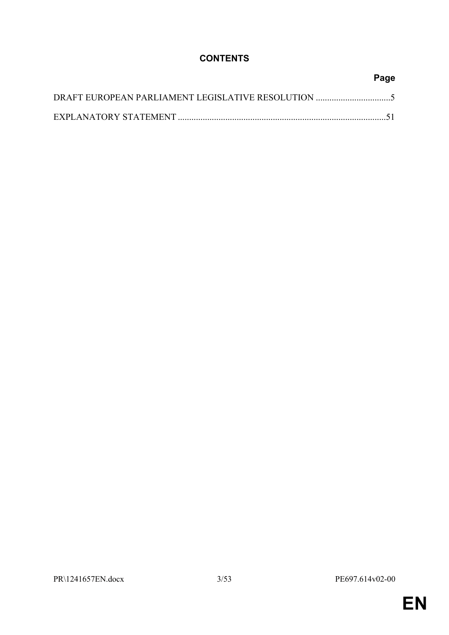# **CONTENTS**

| Page |
|------|
|      |
|      |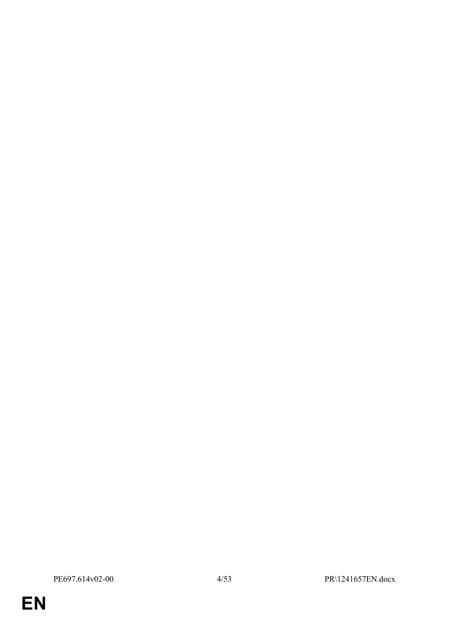**EN**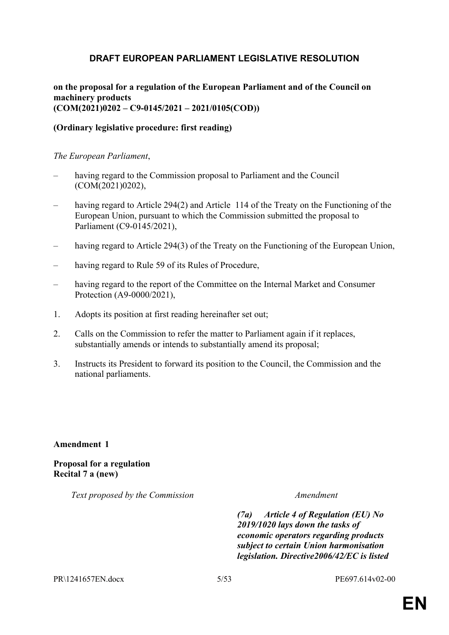# <span id="page-4-0"></span>**DRAFT EUROPEAN PARLIAMENT LEGISLATIVE RESOLUTION**

### **on the proposal for a regulation of the European Parliament and of the Council on machinery products (COM(2021)0202 – C9-0145/2021 – 2021/0105(COD))**

### **(Ordinary legislative procedure: first reading)**

### *The European Parliament*,

- having regard to the Commission proposal to Parliament and the Council (COM(2021)0202),
- having regard to Article 294(2) and Article 114 of the Treaty on the Functioning of the European Union, pursuant to which the Commission submitted the proposal to Parliament (C9-0145/2021),
- having regard to Article 294(3) of the Treaty on the Functioning of the European Union,
- having regard to Rule 59 of its Rules of Procedure,
- having regard to the report of the Committee on the Internal Market and Consumer Protection (A9-0000/2021),
- 1. Adopts its position at first reading hereinafter set out;
- 2. Calls on the Commission to refer the matter to Parliament again if it replaces, substantially amends or intends to substantially amend its proposal;
- 3. Instructs its President to forward its position to the Council, the Commission and the national parliaments.

### **Amendment 1**

**Proposal for a regulation Recital 7 a (new)**

*Text proposed by the Commission Amendment*

*(7a) Article 4 of Regulation (EU) No 2019/1020 lays down the tasks of economic operators regarding products subject to certain Union harmonisation legislation. Directive2006/42/EC is listed*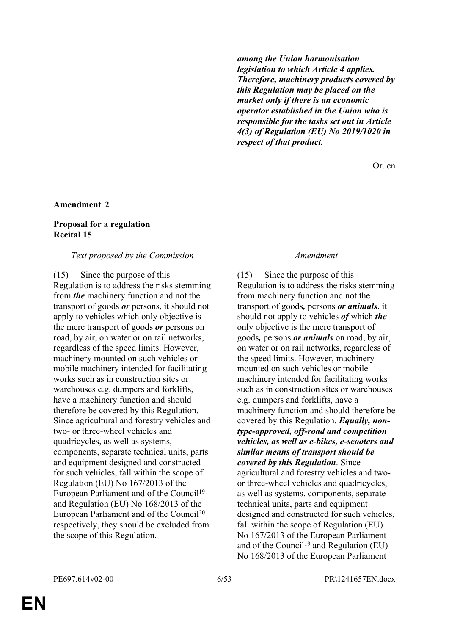*among the Union harmonisation legislation to which Article 4 applies. Therefore, machinery products covered by this Regulation may be placed on the market only if there is an economic operator established in the Union who is responsible for the tasks set out in Article 4(3) of Regulation (EU) No 2019/1020 in respect of that product.*

Or. en

### **Amendment 2**

### **Proposal for a regulation Recital 15**

### *Text proposed by the Commission Amendment*

(15) Since the purpose of this Regulation is to address the risks stemming from *the* machinery function and not the transport of goods *or* persons, it should not apply to vehicles which only objective is the mere transport of goods *or* persons on road, by air, on water or on rail networks, regardless of the speed limits. However, machinery mounted on such vehicles or mobile machinery intended for facilitating works such as in construction sites or warehouses e.g. dumpers and forklifts, have a machinery function and should therefore be covered by this Regulation. Since agricultural and forestry vehicles and two- or three-wheel vehicles and quadricycles, as well as systems, components, separate technical units, parts and equipment designed and constructed for such vehicles, fall within the scope of Regulation (EU) No 167/2013 of the European Parliament and of the Council<sup>19</sup> and Regulation (EU) No 168/2013 of the European Parliament and of the Council<sup>20</sup> respectively, they should be excluded from the scope of this Regulation.

(15) Since the purpose of this Regulation is to address the risks stemming from machinery function and not the transport of goods*,* persons *or animals*, it should not apply to vehicles *of* which *the* only objective is the mere transport of goods*,* persons *or animals* on road, by air, on water or on rail networks, regardless of the speed limits. However, machinery mounted on such vehicles or mobile machinery intended for facilitating works such as in construction sites or warehouses e.g. dumpers and forklifts, have a machinery function and should therefore be covered by this Regulation. *Equally, nontype-approved, off-road and competition vehicles, as well as e-bikes, e-scooters and similar means of transport should be covered by this Regulation*. Since agricultural and forestry vehicles and twoor three-wheel vehicles and quadricycles, as well as systems, components, separate technical units, parts and equipment designed and constructed for such vehicles, fall within the scope of Regulation (EU) No 167/2013 of the European Parliament and of the Council<sup>19</sup> and Regulation  $(EU)$ No 168/2013 of the European Parliament

**EN**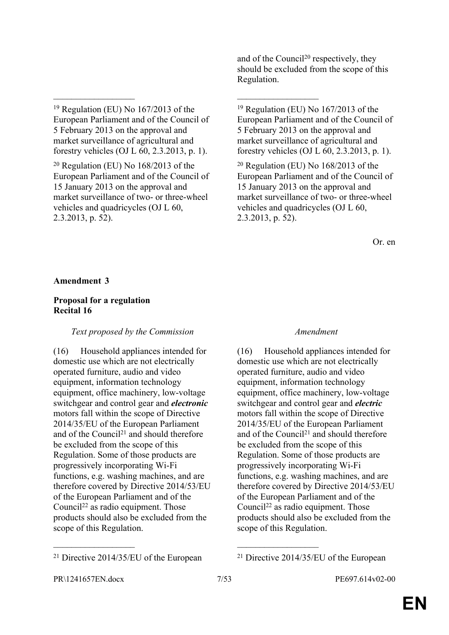$\mathcal{L}_\text{max}$  and  $\mathcal{L}_\text{max}$  and  $\mathcal{L}_\text{max}$  and  $\mathcal{L}_\text{max}$ 

and of the Council<sup>20</sup> respectively, they should be excluded from the scope of this Regulation.

<sup>19</sup> Regulation (EU) No  $167/2013$  of the European Parliament and of the Council of 5 February 2013 on the approval and market surveillance of agricultural and forestry vehicles (OJ L 60, 2.3.2013, p. 1).

<sup>20</sup> Regulation (EU) No 168/2013 of the European Parliament and of the Council of 15 January 2013 on the approval and market surveillance of two- or three-wheel vehicles and quadricycles (OJ L 60, 2.3.2013, p. 52).

Or. en

### **Amendment 3**

2.3.2013, p. 52).

### **Proposal for a regulation Recital 16**

### *Text proposed by the Commission Amendment*

<sup>19</sup> Regulation (EU) No 167/2013 of the European Parliament and of the Council of

5 February 2013 on the approval and market surveillance of agricultural and forestry vehicles (OJ L 60, 2.3.2013, p. 1).

<sup>20</sup> Regulation (EU) No 168/2013 of the European Parliament and of the Council of 15 January 2013 on the approval and market surveillance of two- or three-wheel

vehicles and quadricycles (OJ L 60,

 $\mathcal{L}_\text{max}$  , and the contract of the contract of the contract of the contract of the contract of the contract of

(16) Household appliances intended for domestic use which are not electrically operated furniture, audio and video equipment, information technology equipment, office machinery, low-voltage switchgear and control gear and *electronic* motors fall within the scope of Directive 2014/35/EU of the European Parliament and of the Council<sup>21</sup> and should therefore be excluded from the scope of this Regulation. Some of those products are progressively incorporating Wi-Fi functions, e.g. washing machines, and are therefore covered by Directive 2014/53/EU of the European Parliament and of the Council<sup>22</sup> as radio equipment. Those products should also be excluded from the scope of this Regulation.

(16) Household appliances intended for domestic use which are not electrically operated furniture, audio and video equipment, information technology equipment, office machinery, low-voltage switchgear and control gear and *electric* motors fall within the scope of Directive 2014/35/EU of the European Parliament and of the Council<sup>21</sup> and should therefore be excluded from the scope of this Regulation. Some of those products are progressively incorporating Wi-Fi functions, e.g. washing machines, and are therefore covered by Directive 2014/53/EU of the European Parliament and of the Council<sup>22</sup> as radio equipment. Those products should also be excluded from the scope of this Regulation.

<sup>&</sup>lt;sup>21</sup> Directive 2014/35/EU of the European  $^{21}$  Directive 2014/35/EU of the European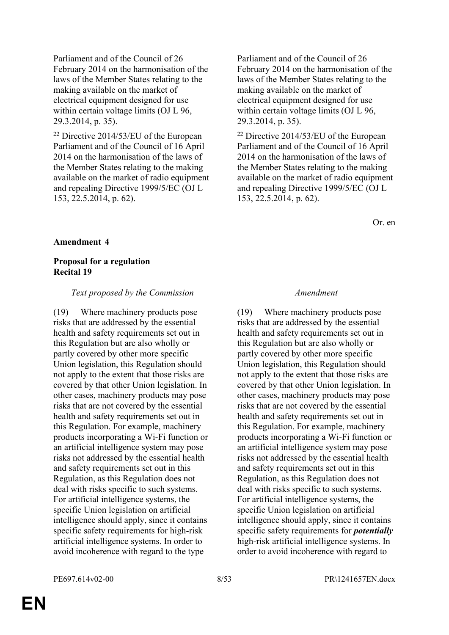Parliament and of the Council of 26 February 2014 on the harmonisation of the laws of the Member States relating to the making available on the market of electrical equipment designed for use within certain voltage limits (OJ L 96, 29.3.2014, p. 35).

<sup>22</sup> Directive 2014/53/EU of the European Parliament and of the Council of 16 April 2014 on the harmonisation of the laws of the Member States relating to the making available on the market of radio equipment and repealing Directive 1999/5/EC (OJ L 153, 22.5.2014, p. 62).

Parliament and of the Council of 26 February 2014 on the harmonisation of the laws of the Member States relating to the making available on the market of electrical equipment designed for use within certain voltage limits (OJ L 96, 29.3.2014, p. 35).

<sup>22</sup> Directive 2014/53/EU of the European Parliament and of the Council of 16 April 2014 on the harmonisation of the laws of the Member States relating to the making available on the market of radio equipment and repealing Directive 1999/5/EC (OJ L 153, 22.5.2014, p. 62).

Or. en

### **Amendment 4**

### **Proposal for a regulation Recital 19**

### *Text proposed by the Commission Amendment*

(19) Where machinery products pose risks that are addressed by the essential health and safety requirements set out in this Regulation but are also wholly or partly covered by other more specific Union legislation, this Regulation should not apply to the extent that those risks are covered by that other Union legislation. In other cases, machinery products may pose risks that are not covered by the essential health and safety requirements set out in this Regulation. For example, machinery products incorporating a Wi-Fi function or an artificial intelligence system may pose risks not addressed by the essential health and safety requirements set out in this Regulation, as this Regulation does not deal with risks specific to such systems. For artificial intelligence systems, the specific Union legislation on artificial intelligence should apply, since it contains specific safety requirements for high-risk artificial intelligence systems. In order to avoid incoherence with regard to the type

(19) Where machinery products pose risks that are addressed by the essential health and safety requirements set out in this Regulation but are also wholly or partly covered by other more specific Union legislation, this Regulation should not apply to the extent that those risks are covered by that other Union legislation. In other cases, machinery products may pose risks that are not covered by the essential health and safety requirements set out in this Regulation. For example, machinery products incorporating a Wi-Fi function or an artificial intelligence system may pose risks not addressed by the essential health and safety requirements set out in this Regulation, as this Regulation does not deal with risks specific to such systems. For artificial intelligence systems, the specific Union legislation on artificial intelligence should apply, since it contains specific safety requirements for *potentially*  high-risk artificial intelligence systems. In order to avoid incoherence with regard to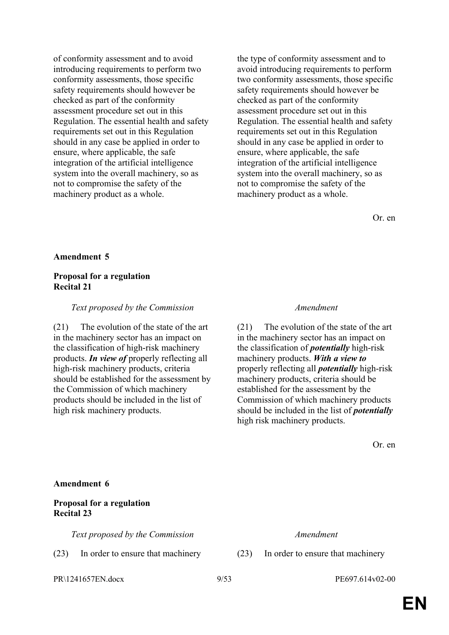of conformity assessment and to avoid introducing requirements to perform two conformity assessments, those specific safety requirements should however be checked as part of the conformity assessment procedure set out in this Regulation. The essential health and safety requirements set out in this Regulation should in any case be applied in order to ensure, where applicable, the safe integration of the artificial intelligence system into the overall machinery, so as not to compromise the safety of the machinery product as a whole.

the type of conformity assessment and to avoid introducing requirements to perform two conformity assessments, those specific safety requirements should however be checked as part of the conformity assessment procedure set out in this Regulation. The essential health and safety requirements set out in this Regulation should in any case be applied in order to ensure, where applicable, the safe integration of the artificial intelligence system into the overall machinery, so as not to compromise the safety of the machinery product as a whole.

Or. en

### **Amendment 5**

### **Proposal for a regulation Recital 21**

### *Text proposed by the Commission Amendment*

(21) The evolution of the state of the art in the machinery sector has an impact on the classification of high-risk machinery products. *In view of* properly reflecting all high-risk machinery products, criteria should be established for the assessment by the Commission of which machinery products should be included in the list of high risk machinery products.

(21) The evolution of the state of the art in the machinery sector has an impact on the classification of *potentially* high-risk machinery products. *With a view to* properly reflecting all *potentially* high-risk machinery products, criteria should be established for the assessment by the Commission of which machinery products should be included in the list of *potentially* high risk machinery products.

Or. en

### **Amendment 6**

### **Proposal for a regulation Recital 23**

*Text proposed by the Commission Amendment*

(23) In order to ensure that machinery (23) In order to ensure that machinery

PR\1241657EN.docx 9/53 PE697.614v02-00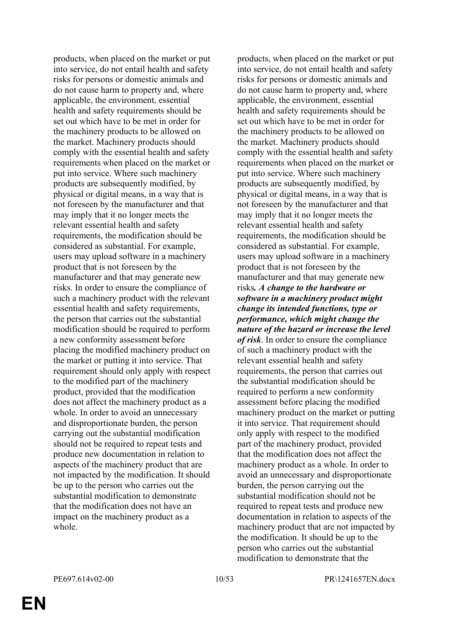products, when placed on the market or put into service, do not entail health and safety risks for persons or domestic animals and do not cause harm to property and, where applicable, the environment, essential health and safety requirements should be set out which have to be met in order for the machinery products to be allowed on the market. Machinery products should comply with the essential health and safety requirements when placed on the market or put into service. Where such machinery products are subsequently modified, by physical or digital means, in a way that is not foreseen by the manufacturer and that may imply that it no longer meets the relevant essential health and safety requirements, the modification should be considered as substantial. For example, users may upload software in a machinery product that is not foreseen by the manufacturer and that may generate new risks. In order to ensure the compliance of such a machinery product with the relevant essential health and safety requirements, the person that carries out the substantial modification should be required to perform a new conformity assessment before placing the modified machinery product on the market or putting it into service. That requirement should only apply with respect to the modified part of the machinery product, provided that the modification does not affect the machinery product as a whole. In order to avoid an unnecessary and disproportionate burden, the person carrying out the substantial modification should not be required to repeat tests and produce new documentation in relation to aspects of the machinery product that are not impacted by the modification. It should be up to the person who carries out the substantial modification to demonstrate that the modification does not have an impact on the machinery product as a whole.

products, when placed on the market or put into service, do not entail health and safety risks for persons or domestic animals and do not cause harm to property and, where applicable, the environment, essential health and safety requirements should be set out which have to be met in order for the machinery products to be allowed on the market. Machinery products should comply with the essential health and safety requirements when placed on the market or put into service. Where such machinery products are subsequently modified, by physical or digital means, in a way that is not foreseen by the manufacturer and that may imply that it no longer meets the relevant essential health and safety requirements, the modification should be considered as substantial. For example, users may upload software in a machinery product that is not foreseen by the manufacturer and that may generate new risks*. A change to the hardware or software in a machinery product might change its intended functions, type or performance, which might change the nature of the hazard or increase the level of risk*. In order to ensure the compliance of such a machinery product with the relevant essential health and safety requirements, the person that carries out the substantial modification should be required to perform a new conformity assessment before placing the modified machinery product on the market or putting it into service. That requirement should only apply with respect to the modified part of the machinery product, provided that the modification does not affect the machinery product as a whole. In order to avoid an unnecessary and disproportionate burden, the person carrying out the substantial modification should not be required to repeat tests and produce new documentation in relation to aspects of the machinery product that are not impacted by the modification. It should be up to the person who carries out the substantial modification to demonstrate that the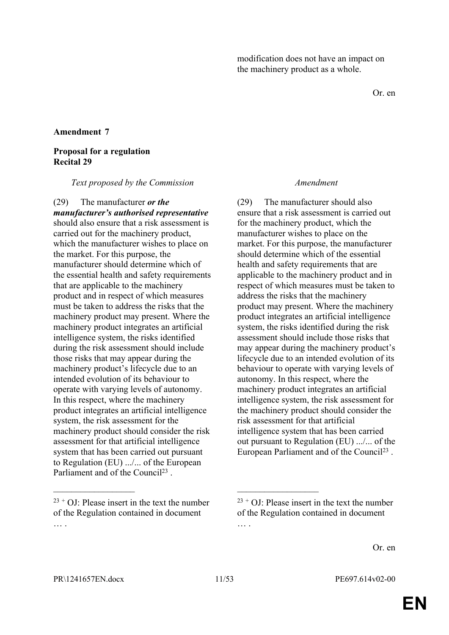Or. en

### **Amendment 7**

### **Proposal for a regulation Recital 29**

*Text proposed by the Commission Amendment*

(29) The manufacturer *or the manufacturer's authorised representative* should also ensure that a risk assessment is carried out for the machinery product, which the manufacturer wishes to place on the market. For this purpose, the manufacturer should determine which of the essential health and safety requirements that are applicable to the machinery product and in respect of which measures must be taken to address the risks that the machinery product may present. Where the machinery product integrates an artificial intelligence system, the risks identified during the risk assessment should include those risks that may appear during the machinery product's lifecycle due to an intended evolution of its behaviour to operate with varying levels of autonomy. In this respect, where the machinery product integrates an artificial intelligence system, the risk assessment for the machinery product should consider the risk assessment for that artificial intelligence system that has been carried out pursuant to Regulation (EU) .../... of the European Parliament and of the Council<sup>23</sup>.

(29) The manufacturer should also ensure that a risk assessment is carried out for the machinery product, which the manufacturer wishes to place on the market. For this purpose, the manufacturer should determine which of the essential health and safety requirements that are applicable to the machinery product and in respect of which measures must be taken to address the risks that the machinery product may present. Where the machinery product integrates an artificial intelligence system, the risks identified during the risk assessment should include those risks that may appear during the machinery product's lifecycle due to an intended evolution of its behaviour to operate with varying levels of autonomy. In this respect, where the machinery product integrates an artificial intelligence system, the risk assessment for the machinery product should consider the risk assessment for that artificial intelligence system that has been carried out pursuant to Regulation (EU) .../... of the European Parliament and of the Council<sup>23</sup>.

 $\mathcal{L}_\text{max}$  , and the contract of the contract of the contract of the contract of the contract of the contract of

**EN**

<sup>23</sup> + OJ: Please insert in the text the number of the Regulation contained in document … .

 $23 + OJ$ : Please insert in the text the number of the Regulation contained in document … .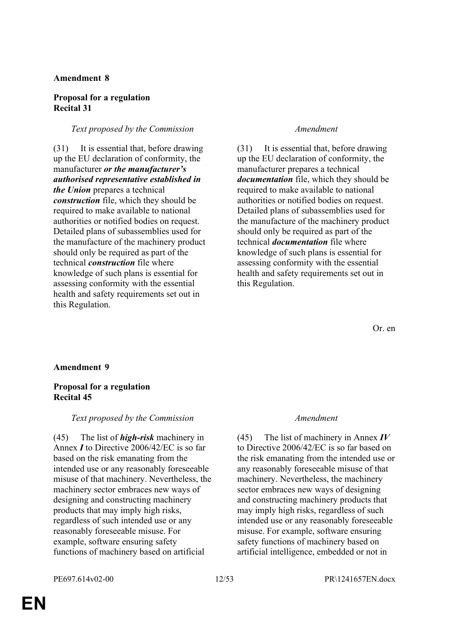### **Proposal for a regulation Recital 31**

### *Text proposed by the Commission Amendment*

(31) It is essential that, before drawing up the EU declaration of conformity, the manufacturer *or the manufacturer's authorised representative established in the Union* prepares a technical *construction* file, which they should be required to make available to national authorities or notified bodies on request. Detailed plans of subassemblies used for the manufacture of the machinery product should only be required as part of the technical *construction* file where knowledge of such plans is essential for assessing conformity with the essential health and safety requirements set out in this Regulation.

(31) It is essential that, before drawing up the EU declaration of conformity, the manufacturer prepares a technical *documentation* file, which they should be required to make available to national authorities or notified bodies on request. Detailed plans of subassemblies used for the manufacture of the machinery product should only be required as part of the technical *documentation* file where knowledge of such plans is essential for assessing conformity with the essential health and safety requirements set out in this Regulation.

Or. en

### **Amendment 9**

### **Proposal for a regulation Recital 45**

### *Text proposed by the Commission Amendment*

(45) The list of *high-risk* machinery in Annex *I* to Directive 2006/42/EC is so far based on the risk emanating from the intended use or any reasonably foreseeable misuse of that machinery. Nevertheless, the machinery sector embraces new ways of designing and constructing machinery products that may imply high risks, regardless of such intended use or any reasonably foreseeable misuse. For example, software ensuring safety functions of machinery based on artificial

(45) The list of machinery in Annex *IV* to Directive 2006/42/EC is so far based on the risk emanating from the intended use or any reasonably foreseeable misuse of that machinery. Nevertheless, the machinery sector embraces new ways of designing and constructing machinery products that may imply high risks, regardless of such intended use or any reasonably foreseeable misuse. For example, software ensuring safety functions of machinery based on artificial intelligence, embedded or not in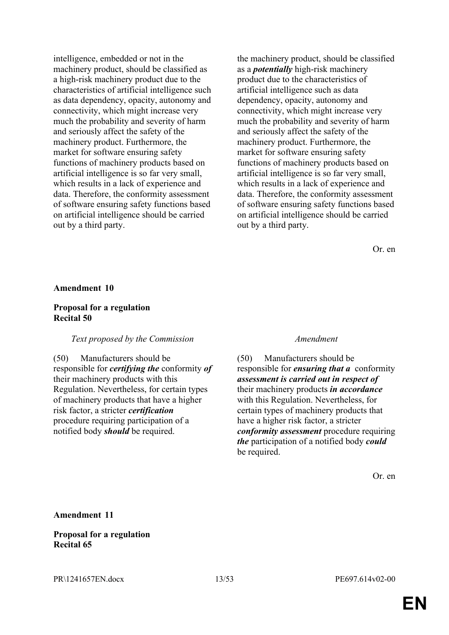intelligence, embedded or not in the machinery product, should be classified as a high-risk machinery product due to the characteristics of artificial intelligence such as data dependency, opacity, autonomy and connectivity, which might increase very much the probability and severity of harm and seriously affect the safety of the machinery product. Furthermore, the market for software ensuring safety functions of machinery products based on artificial intelligence is so far very small, which results in a lack of experience and data. Therefore, the conformity assessment of software ensuring safety functions based on artificial intelligence should be carried out by a third party.

the machinery product, should be classified as a *potentially* high-risk machinery product due to the characteristics of artificial intelligence such as data dependency, opacity, autonomy and connectivity, which might increase very much the probability and severity of harm and seriously affect the safety of the machinery product. Furthermore, the market for software ensuring safety functions of machinery products based on artificial intelligence is so far very small, which results in a lack of experience and data. Therefore, the conformity assessment of software ensuring safety functions based on artificial intelligence should be carried out by a third party.

Or. en

### **Amendment 10**

### **Proposal for a regulation Recital 50**

### *Text proposed by the Commission Amendment*

(50) Manufacturers should be responsible for *certifying the* conformity *of* their machinery products with this Regulation. Nevertheless, for certain types of machinery products that have a higher risk factor, a stricter *certification* procedure requiring participation of a notified body *should* be required.

(50) Manufacturers should be responsible for *ensuring that a* conformity *assessment is carried out in respect of* their machinery products *in accordance* with this Regulation. Nevertheless, for certain types of machinery products that have a higher risk factor, a stricter *conformity assessment* procedure requiring *the* participation of a notified body *could* be required.

Or. en

**Amendment 11**

**Proposal for a regulation Recital 65**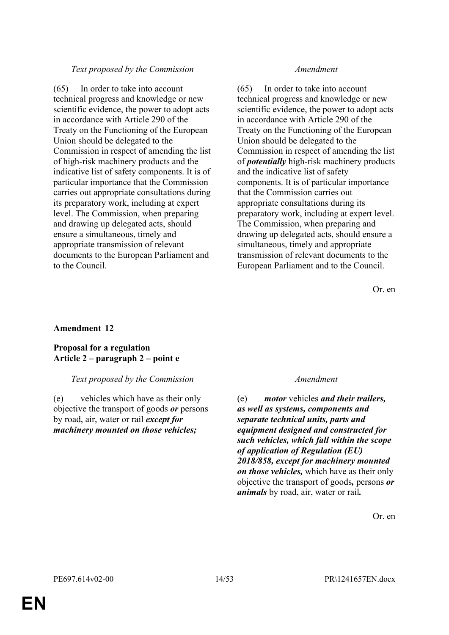### *Text proposed by the Commission Amendment*

(65) In order to take into account technical progress and knowledge or new scientific evidence, the power to adopt acts in accordance with Article 290 of the Treaty on the Functioning of the European Union should be delegated to the Commission in respect of amending the list of high-risk machinery products and the indicative list of safety components. It is of particular importance that the Commission carries out appropriate consultations during its preparatory work, including at expert level. The Commission, when preparing and drawing up delegated acts, should ensure a simultaneous, timely and appropriate transmission of relevant documents to the European Parliament and to the Council.

(65) In order to take into account technical progress and knowledge or new scientific evidence, the power to adopt acts in accordance with Article 290 of the Treaty on the Functioning of the European Union should be delegated to the Commission in respect of amending the list of *potentially* high-risk machinery products and the indicative list of safety components. It is of particular importance that the Commission carries out appropriate consultations during its preparatory work, including at expert level. The Commission, when preparing and drawing up delegated acts, should ensure a simultaneous, timely and appropriate transmission of relevant documents to the European Parliament and to the Council.

Or. en

### **Amendment 12**

### **Proposal for a regulation Article 2 – paragraph 2 – point e**

### *Text proposed by the Commission Amendment*

(e) vehicles which have as their only objective the transport of goods *or* persons by road, air, water or rail *except for machinery mounted on those vehicles;*

(e) *motor* vehicles *and their trailers, as well as systems, components and separate technical units, parts and equipment designed and constructed for such vehicles, which fall within the scope of application of Regulation (EU) 2018/858, except for machinery mounted on those vehicles,* which have as their only objective the transport of goods*,* persons *or animals* by road, air, water or rail*.*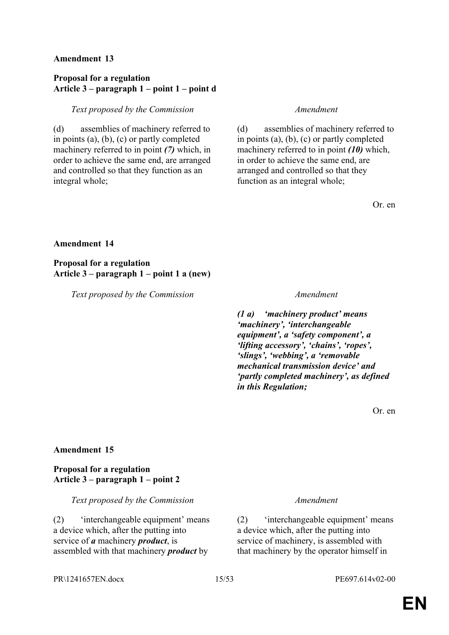### **Proposal for a regulation Article 3 – paragraph 1 – point 1 – point d**

### *Text proposed by the Commission Amendment*

(d) assemblies of machinery referred to in points (a), (b), (c) or partly completed machinery referred to in point *(7)* which, in order to achieve the same end, are arranged and controlled so that they function as an integral whole;

(d) assemblies of machinery referred to in points (a), (b), (c) or partly completed machinery referred to in point *(10)* which, in order to achieve the same end, are arranged and controlled so that they function as an integral whole;

Or. en

### **Amendment 14**

### **Proposal for a regulation Article 3 – paragraph 1 – point 1 a (new)**

*Text proposed by the Commission Amendment*

*(1 a) 'machinery product' means 'machinery', 'interchangeable equipment', a 'safety component', a 'lifting accessory', 'chains', 'ropes', 'slings', 'webbing', a 'removable mechanical transmission device' and 'partly completed machinery', as defined in this Regulation;*

Or. en

### **Amendment 15**

### **Proposal for a regulation Article 3 – paragraph 1 – point 2**

*Text proposed by the Commission Amendment*

(2) 'interchangeable equipment' means a device which, after the putting into service of *a* machinery *product*, is assembled with that machinery *product* by

(2) 'interchangeable equipment' means a device which, after the putting into service of machinery, is assembled with that machinery by the operator himself in

PR\1241657EN.docx 15/53 PE697.614v02-00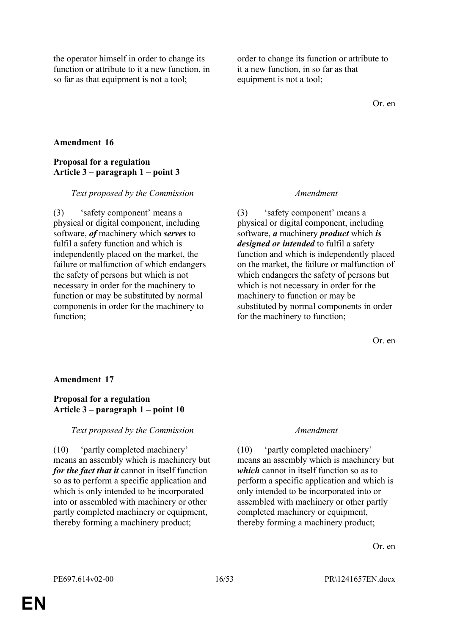the operator himself in order to change its function or attribute to it a new function, in so far as that equipment is not a tool;

order to change its function or attribute to it a new function, in so far as that equipment is not a tool;

Or. en

### **Amendment 16**

# **Proposal for a regulation Article 3 – paragraph 1 – point 3**

### *Text proposed by the Commission Amendment*

(3) 'safety component' means a physical or digital component, including software, *of* machinery which *serves* to fulfil a safety function and which is independently placed on the market, the failure or malfunction of which endangers the safety of persons but which is not necessary in order for the machinery to function or may be substituted by normal components in order for the machinery to function;

(3) 'safety component' means a physical or digital component, including software, *a* machinery *product* which *is designed or intended* to fulfil a safety function and which is independently placed on the market, the failure or malfunction of which endangers the safety of persons but which is not necessary in order for the machinery to function or may be substituted by normal components in order for the machinery to function;

Or. en

### **Amendment 17**

### **Proposal for a regulation Article 3 – paragraph 1 – point 10**

### *Text proposed by the Commission Amendment*

(10) 'partly completed machinery' means an assembly which is machinery but *for the fact that it* cannot in itself function so as to perform a specific application and which is only intended to be incorporated into or assembled with machinery or other partly completed machinery or equipment, thereby forming a machinery product;

(10) 'partly completed machinery' means an assembly which is machinery but *which* cannot in itself function so as to perform a specific application and which is only intended to be incorporated into or assembled with machinery or other partly completed machinery or equipment, thereby forming a machinery product;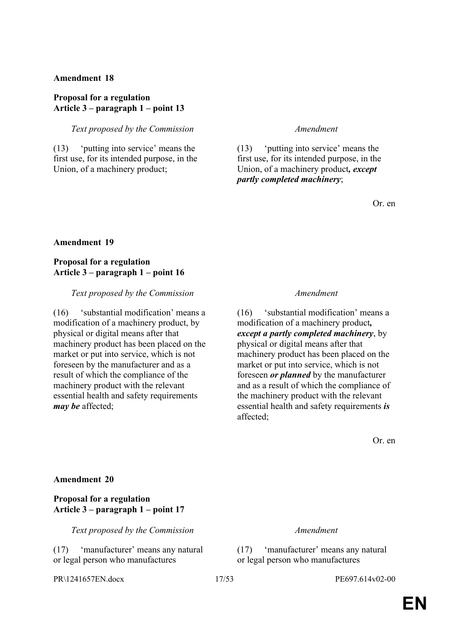### **Proposal for a regulation Article 3 – paragraph 1 – point 13**

*Text proposed by the Commission Amendment*

(13) 'putting into service' means the first use, for its intended purpose, in the Union, of a machinery product;

(13) 'putting into service' means the first use, for its intended purpose, in the Union, of a machinery product*, except partly completed machinery*;

Or. en

### **Amendment 19**

### **Proposal for a regulation Article 3 – paragraph 1 – point 16**

*Text proposed by the Commission Amendment*

(16) 'substantial modification' means a modification of a machinery product, by physical or digital means after that machinery product has been placed on the market or put into service, which is not foreseen by the manufacturer and as a result of which the compliance of the machinery product with the relevant essential health and safety requirements *may be* affected;

(16) 'substantial modification' means a modification of a machinery product*, except a partly completed machinery*, by physical or digital means after that machinery product has been placed on the market or put into service, which is not foreseen *or planned* by the manufacturer and as a result of which the compliance of the machinery product with the relevant essential health and safety requirements *is* affected;

Or. en

### **Amendment 20**

### **Proposal for a regulation Article 3 – paragraph 1 – point 17**

*Text proposed by the Commission Amendment*

(17) 'manufacturer' means any natural or legal person who manufactures

PR\1241657EN.docx 17/53 PE697.614v02-00

(17) 'manufacturer' means any natural or legal person who manufactures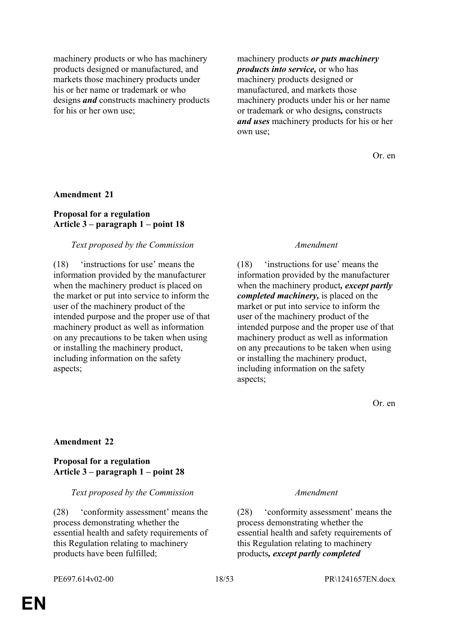machinery products or who has machinery products designed or manufactured, and markets those machinery products under his or her name or trademark or who designs *and* constructs machinery products for his or her own use;

machinery products *or puts machinery products into service,* or who has machinery products designed or manufactured, and markets those machinery products under his or her name or trademark or who designs*,* constructs *and uses* machinery products for his or her own use;

Or. en

### **Amendment 21**

### **Proposal for a regulation Article 3 – paragraph 1 – point 18**

### *Text proposed by the Commission Amendment*

(18) 'instructions for use' means the information provided by the manufacturer when the machinery product is placed on the market or put into service to inform the user of the machinery product of the intended purpose and the proper use of that machinery product as well as information on any precautions to be taken when using or installing the machinery product, including information on the safety aspects;

(18) 'instructions for use' means the information provided by the manufacturer when the machinery product*, except partly completed machinery,* is placed on the market or put into service to inform the user of the machinery product of the intended purpose and the proper use of that machinery product as well as information on any precautions to be taken when using or installing the machinery product, including information on the safety aspects;

Or. en

### **Amendment 22**

### **Proposal for a regulation Article 3 – paragraph 1 – point 28**

### *Text proposed by the Commission Amendment*

(28) 'conformity assessment' means the process demonstrating whether the essential health and safety requirements of this Regulation relating to machinery products have been fulfilled;

(28) 'conformity assessment' means the process demonstrating whether the essential health and safety requirements of this Regulation relating to machinery products*, except partly completed*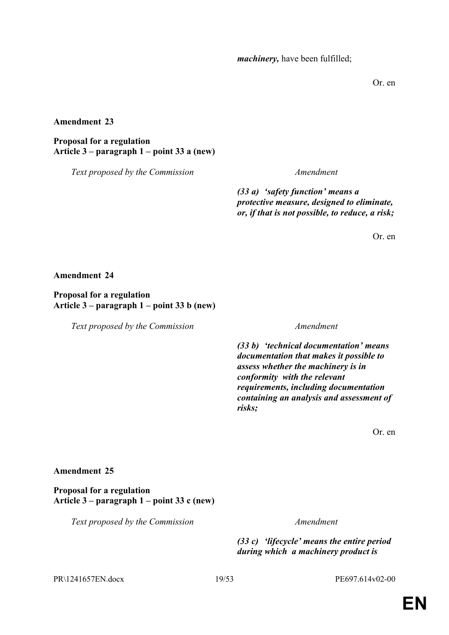*machinery,* have been fulfilled;

Or. en

**Amendment 23**

**Proposal for a regulation Article 3 – paragraph 1 – point 33 a (new)**

*Text proposed by the Commission Amendment*

*(33 a) 'safety function' means a protective measure, designed to eliminate, or, if that is not possible, to reduce, a risk;*

Or. en

**Amendment 24**

**Proposal for a regulation Article 3 – paragraph 1 – point 33 b (new)**

*Text proposed by the Commission Amendment*

*(33 b) 'technical documentation' means documentation that makes it possible to assess whether the machinery is in conformity with the relevant requirements, including documentation containing an analysis and assessment of risks;*

Or. en

### **Amendment 25**

**Proposal for a regulation Article 3 – paragraph 1 – point 33 c (new)**

*Text proposed by the Commission Amendment*

*(33 c) 'lifecycle' means the entire period during which a machinery product is* 

PR\1241657EN.docx 19/53 PE697.614v02-00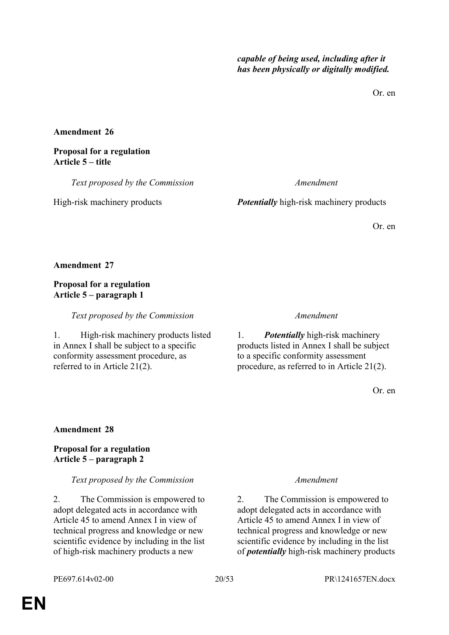*capable of being used, including after it has been physically or digitally modified.*

Or. en

### **Amendment 26**

### **Proposal for a regulation Article 5 – title**

*Text proposed by the Commission Amendment*

High-risk machinery products *Potentially* high-risk machinery products

Or. en

**Amendment 27**

# **Proposal for a regulation Article 5 – paragraph 1**

*Text proposed by the Commission Amendment*

1. High-risk machinery products listed in Annex I shall be subject to a specific conformity assessment procedure, as referred to in Article 21(2).

1. *Potentially* high-risk machinery products listed in Annex I shall be subject to a specific conformity assessment procedure, as referred to in Article 21(2).

Or. en

### **Amendment 28**

**Proposal for a regulation Article 5 – paragraph 2**

*Text proposed by the Commission Amendment*

2. The Commission is empowered to adopt delegated acts in accordance with Article 45 to amend Annex I in view of technical progress and knowledge or new scientific evidence by including in the list of high-risk machinery products a new

2. The Commission is empowered to adopt delegated acts in accordance with Article 45 to amend Annex I in view of technical progress and knowledge or new scientific evidence by including in the list of *potentially* high-risk machinery products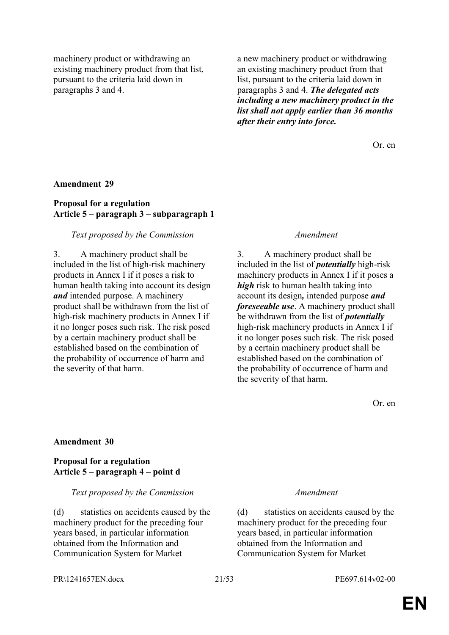machinery product or withdrawing an existing machinery product from that list, pursuant to the criteria laid down in paragraphs 3 and 4.

Or. en

### **Amendment 29**

### **Proposal for a regulation Article 5 – paragraph 3 – subparagraph 1**

### *Text proposed by the Commission Amendment*

3. A machinery product shall be included in the list of high-risk machinery products in Annex I if it poses a risk to human health taking into account its design *and* intended purpose. A machinery product shall be withdrawn from the list of high-risk machinery products in Annex I if it no longer poses such risk. The risk posed by a certain machinery product shall be established based on the combination of the probability of occurrence of harm and the severity of that harm.

3. A machinery product shall be included in the list of *potentially* high-risk machinery products in Annex I if it poses a *high* risk to human health taking into account its design*,* intended purpose *and foreseeable use*. A machinery product shall be withdrawn from the list of *potentially* high-risk machinery products in Annex I if it no longer poses such risk. The risk posed by a certain machinery product shall be established based on the combination of the probability of occurrence of harm and the severity of that harm.

Or. en

### **Amendment 30**

### **Proposal for a regulation Article 5 – paragraph 4 – point d**

### *Text proposed by the Commission Amendment*

(d) statistics on accidents caused by the machinery product for the preceding four years based, in particular information obtained from the Information and Communication System for Market

(d) statistics on accidents caused by the machinery product for the preceding four years based, in particular information obtained from the Information and Communication System for Market

PR\1241657EN.docx 21/53 PE697.614v02-00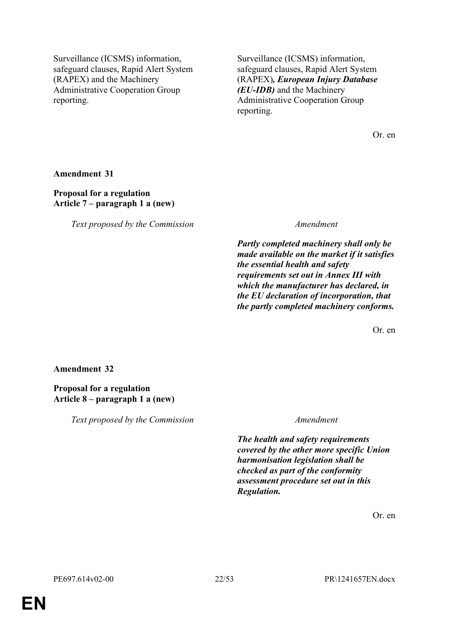Surveillance (ICSMS) information, safeguard clauses, Rapid Alert System (RAPEX) and the Machinery Administrative Cooperation Group reporting.

Surveillance (ICSMS) information, safeguard clauses, Rapid Alert System (RAPEX)*, European Injury Database (EU-IDB)* and the Machinery Administrative Cooperation Group reporting.

Or. en

**Amendment 31**

### **Proposal for a regulation Article 7 – paragraph 1 a (new)**

*Text proposed by the Commission Amendment*

*Partly completed machinery shall only be made available on the market if it satisfies the essential health and safety requirements set out in Annex III with which the manufacturer has declared, in the EU declaration of incorporation, that the partly completed machinery conforms.*

Or. en

### **Amendment 32**

### **Proposal for a regulation Article 8 – paragraph 1 a (new)**

*Text proposed by the Commission Amendment*

*The health and safety requirements covered by the other more specific Union harmonisation legislation shall be checked as part of the conformity assessment procedure set out in this Regulation.*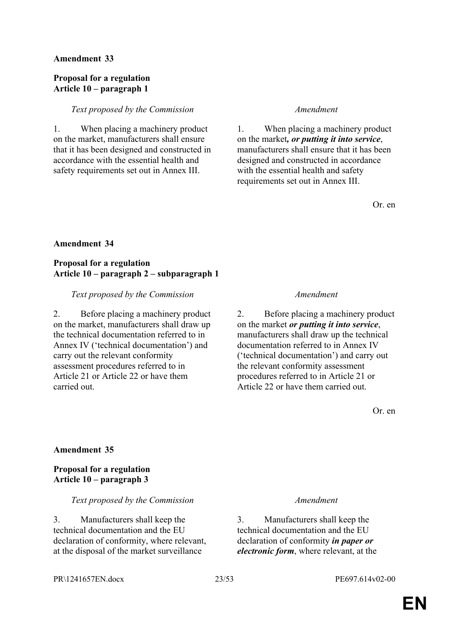### **Proposal for a regulation Article 10 – paragraph 1**

### *Text proposed by the Commission Amendment*

1. When placing a machinery product on the market, manufacturers shall ensure that it has been designed and constructed in accordance with the essential health and safety requirements set out in Annex III.

1. When placing a machinery product on the market*, or putting it into service*, manufacturers shall ensure that it has been designed and constructed in accordance with the essential health and safety requirements set out in Annex III.

Or. en

### **Amendment 34**

### **Proposal for a regulation Article 10 – paragraph 2 – subparagraph 1**

### *Text proposed by the Commission Amendment*

2. Before placing a machinery product on the market, manufacturers shall draw up the technical documentation referred to in Annex IV ('technical documentation') and carry out the relevant conformity assessment procedures referred to in Article 21 or Article 22 or have them carried out.

2. Before placing a machinery product on the market *or putting it into service*, manufacturers shall draw up the technical documentation referred to in Annex IV ('technical documentation') and carry out the relevant conformity assessment procedures referred to in Article 21 or Article 22 or have them carried out.

Or. en

### **Amendment 35**

### **Proposal for a regulation Article 10 – paragraph 3**

### *Text proposed by the Commission Amendment*

3. Manufacturers shall keep the technical documentation and the EU declaration of conformity, where relevant, at the disposal of the market surveillance

3. Manufacturers shall keep the technical documentation and the EU declaration of conformity *in paper or electronic form*, where relevant, at the

### PR\1241657EN.docx 23/53 PE697.614v02-00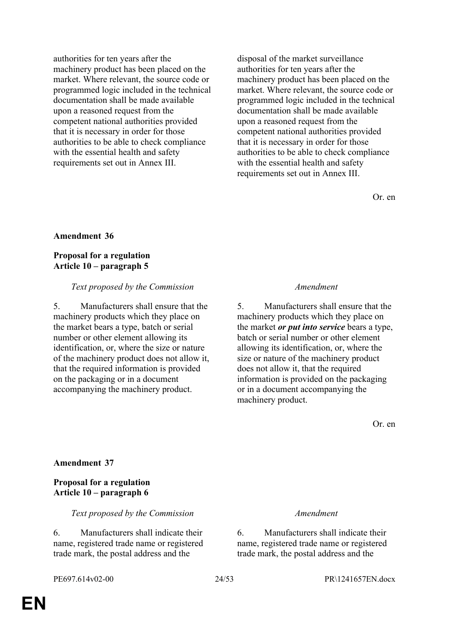authorities for ten years after the machinery product has been placed on the market. Where relevant, the source code or programmed logic included in the technical documentation shall be made available upon a reasoned request from the competent national authorities provided that it is necessary in order for those authorities to be able to check compliance with the essential health and safety requirements set out in Annex III.

disposal of the market surveillance authorities for ten years after the machinery product has been placed on the market. Where relevant, the source code or programmed logic included in the technical documentation shall be made available upon a reasoned request from the competent national authorities provided that it is necessary in order for those authorities to be able to check compliance with the essential health and safety requirements set out in Annex III.

Or. en

### **Amendment 36**

### **Proposal for a regulation Article 10 – paragraph 5**

### *Text proposed by the Commission Amendment*

5. Manufacturers shall ensure that the machinery products which they place on the market bears a type, batch or serial number or other element allowing its identification, or, where the size or nature of the machinery product does not allow it, that the required information is provided on the packaging or in a document accompanying the machinery product.

5. Manufacturers shall ensure that the machinery products which they place on the market *or put into service* bears a type, batch or serial number or other element allowing its identification, or, where the size or nature of the machinery product does not allow it, that the required information is provided on the packaging or in a document accompanying the machinery product.

Or. en

**Amendment 37**

### **Proposal for a regulation Article 10 – paragraph 6**

*Text proposed by the Commission Amendment*

6. Manufacturers shall indicate their name, registered trade name or registered trade mark, the postal address and the

6. Manufacturers shall indicate their name, registered trade name or registered trade mark, the postal address and the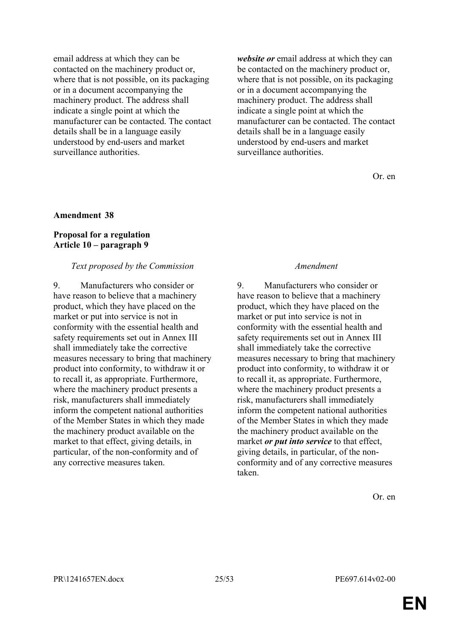email address at which they can be contacted on the machinery product or, where that is not possible, on its packaging or in a document accompanying the machinery product. The address shall indicate a single point at which the manufacturer can be contacted. The contact details shall be in a language easily understood by end-users and market surveillance authorities.

*website or* email address at which they can be contacted on the machinery product or, where that is not possible, on its packaging or in a document accompanying the machinery product. The address shall indicate a single point at which the manufacturer can be contacted. The contact details shall be in a language easily understood by end-users and market surveillance authorities.

Or. en

### **Amendment 38**

### **Proposal for a regulation Article 10 – paragraph 9**

### *Text proposed by the Commission Amendment*

9. Manufacturers who consider or have reason to believe that a machinery product, which they have placed on the market or put into service is not in conformity with the essential health and safety requirements set out in Annex III shall immediately take the corrective measures necessary to bring that machinery product into conformity, to withdraw it or to recall it, as appropriate. Furthermore, where the machinery product presents a risk, manufacturers shall immediately inform the competent national authorities of the Member States in which they made the machinery product available on the market to that effect, giving details, in particular, of the non-conformity and of any corrective measures taken.

9. Manufacturers who consider or have reason to believe that a machinery product, which they have placed on the market or put into service is not in conformity with the essential health and safety requirements set out in Annex III shall immediately take the corrective measures necessary to bring that machinery product into conformity, to withdraw it or to recall it, as appropriate. Furthermore, where the machinery product presents a risk, manufacturers shall immediately inform the competent national authorities of the Member States in which they made the machinery product available on the market *or put into service* to that effect, giving details, in particular, of the nonconformity and of any corrective measures taken.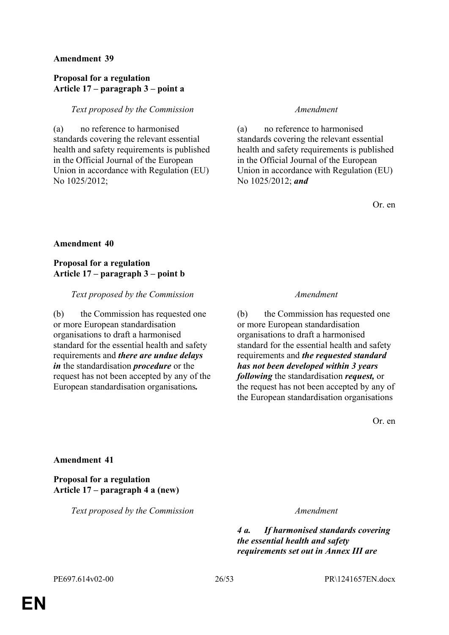### **Proposal for a regulation Article 17 – paragraph 3 – point a**

### *Text proposed by the Commission Amendment*

(a) no reference to harmonised standards covering the relevant essential health and safety requirements is published in the Official Journal of the European Union in accordance with Regulation (EU) No 1025/2012;

(a) no reference to harmonised standards covering the relevant essential health and safety requirements is published in the Official Journal of the European Union in accordance with Regulation (EU) No 1025/2012; *and*

Or. en

### **Amendment 40**

### **Proposal for a regulation Article 17 – paragraph 3 – point b**

### *Text proposed by the Commission Amendment*

(b) the Commission has requested one or more European standardisation organisations to draft a harmonised standard for the essential health and safety requirements and *there are undue delays in* the standardisation *procedure* or the request has not been accepted by any of the European standardisation organisations*.*

(b) the Commission has requested one or more European standardisation organisations to draft a harmonised standard for the essential health and safety requirements and *the requested standard has not been developed within 3 years following* the standardisation *request,* or the request has not been accepted by any of the European standardisation organisations

Or. en

### **Amendment 41**

### **Proposal for a regulation Article 17 – paragraph 4 a (new)**

*Text proposed by the Commission Amendment*

*4 a. If harmonised standards covering the essential health and safety requirements set out in Annex III are*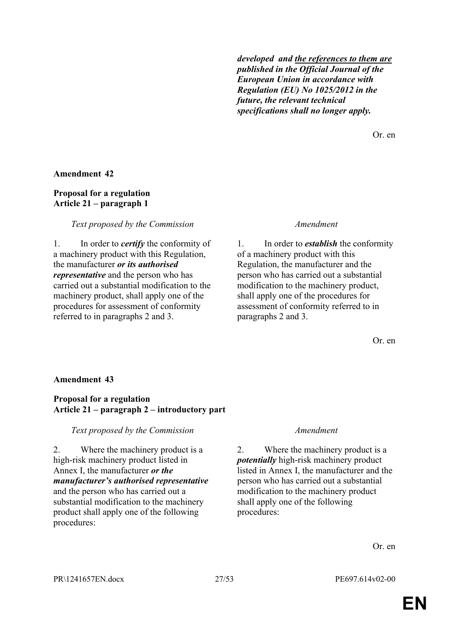*developed and the references to them are published in the Official Journal of the European Union in accordance with Regulation (EU) No 1025/2012 in the future, the relevant technical specifications shall no longer apply.*

Or. en

# **Amendment 42**

### **Proposal for a regulation Article 21 – paragraph 1**

# *Text proposed by the Commission Amendment*

1. In order to *certify* the conformity of a machinery product with this Regulation, the manufacturer *or its authorised representative* and the person who has carried out a substantial modification to the machinery product, shall apply one of the procedures for assessment of conformity referred to in paragraphs 2 and 3.

1. In order to *establish* the conformity of a machinery product with this Regulation, the manufacturer and the person who has carried out a substantial modification to the machinery product, shall apply one of the procedures for assessment of conformity referred to in paragraphs 2 and 3.

Or. en

### **Amendment 43**

### **Proposal for a regulation Article 21 – paragraph 2 – introductory part**

*Text proposed by the Commission Amendment*

2. Where the machinery product is a high-risk machinery product listed in Annex I, the manufacturer *or the manufacturer's authorised representative* and the person who has carried out a substantial modification to the machinery product shall apply one of the following procedures:

2. Where the machinery product is a *potentially* high-risk machinery product listed in Annex I, the manufacturer and the person who has carried out a substantial modification to the machinery product shall apply one of the following procedures: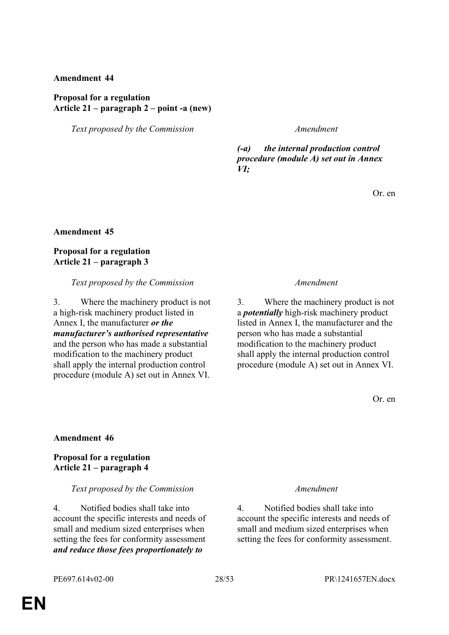### **Proposal for a regulation Article 21 – paragraph 2 – point -a (new)**

*Text proposed by the Commission Amendment*

*(-a) the internal production control procedure (module A) set out in Annex VI;*

Or. en

### **Amendment 45**

### **Proposal for a regulation Article 21 – paragraph 3**

### *Text proposed by the Commission Amendment*

3. Where the machinery product is not a high-risk machinery product listed in Annex I, the manufacturer *or the manufacturer's authorised representative* and the person who has made a substantial modification to the machinery product shall apply the internal production control procedure (module A) set out in Annex VI.

3. Where the machinery product is not a *potentially* high-risk machinery product listed in Annex I, the manufacturer and the person who has made a substantial modification to the machinery product shall apply the internal production control procedure (module A) set out in Annex VI.

Or. en

### **Amendment 46**

### **Proposal for a regulation Article 21 – paragraph 4**

### *Text proposed by the Commission Amendment*

4. Notified bodies shall take into account the specific interests and needs of small and medium sized enterprises when setting the fees for conformity assessment *and reduce those fees proportionately to* 

4. Notified bodies shall take into account the specific interests and needs of small and medium sized enterprises when setting the fees for conformity assessment.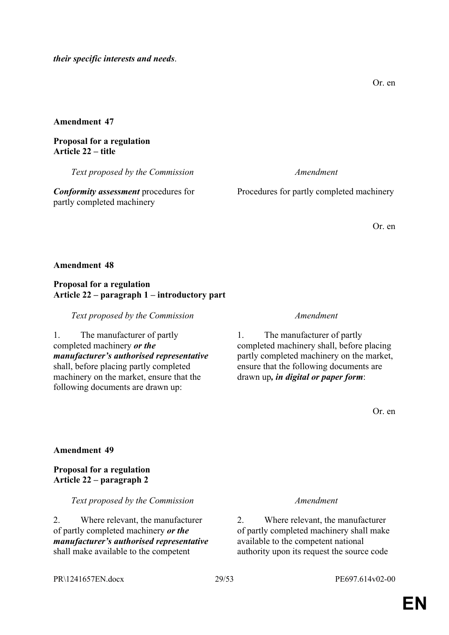### **Proposal for a regulation Article 22 – title**

*Text proposed by the Commission Amendment*

*Conformity assessment* procedures for partly completed machinery

Procedures for partly completed machinery

Or. en

### **Amendment 48**

### **Proposal for a regulation Article 22 – paragraph 1 – introductory part**

*Text proposed by the Commission Amendment*

1. The manufacturer of partly completed machinery *or the manufacturer's authorised representative* shall, before placing partly completed machinery on the market, ensure that the following documents are drawn up:

1. The manufacturer of partly completed machinery shall, before placing partly completed machinery on the market, ensure that the following documents are drawn up*, in digital or paper form*:

Or. en

### **Amendment 49**

**Proposal for a regulation Article 22 – paragraph 2**

*Text proposed by the Commission Amendment*

2. Where relevant, the manufacturer of partly completed machinery *or the manufacturer's authorised representative* shall make available to the competent

2. Where relevant, the manufacturer of partly completed machinery shall make available to the competent national authority upon its request the source code

PR\1241657EN.docx 29/53 PE697.614v02-00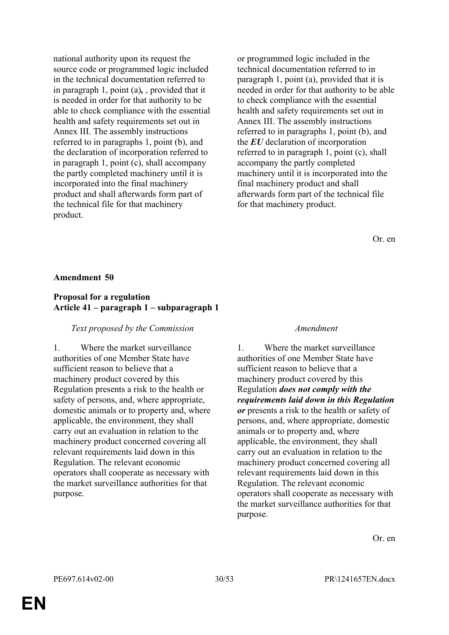national authority upon its request the source code or programmed logic included in the technical documentation referred to in paragraph 1, point (a)*,* , provided that it is needed in order for that authority to be able to check compliance with the essential health and safety requirements set out in Annex III. The assembly instructions referred to in paragraphs 1, point (b), and the declaration of incorporation referred to in paragraph 1, point (c), shall accompany the partly completed machinery until it is incorporated into the final machinery product and shall afterwards form part of the technical file for that machinery product.

or programmed logic included in the technical documentation referred to in paragraph 1, point (a), provided that it is needed in order for that authority to be able to check compliance with the essential health and safety requirements set out in Annex III. The assembly instructions referred to in paragraphs 1, point (b), and the *EU* declaration of incorporation referred to in paragraph 1, point (c), shall accompany the partly completed machinery until it is incorporated into the final machinery product and shall afterwards form part of the technical file for that machinery product.

Or. en

### **Amendment 50**

### **Proposal for a regulation Article 41 – paragraph 1 – subparagraph 1**

### *Text proposed by the Commission Amendment*

1. Where the market surveillance authorities of one Member State have sufficient reason to believe that a machinery product covered by this Regulation presents a risk to the health or safety of persons, and, where appropriate, domestic animals or to property and, where applicable, the environment, they shall carry out an evaluation in relation to the machinery product concerned covering all relevant requirements laid down in this Regulation. The relevant economic operators shall cooperate as necessary with the market surveillance authorities for that purpose.

1. Where the market surveillance authorities of one Member State have sufficient reason to believe that a machinery product covered by this Regulation *does not comply with the requirements laid down in this Regulation or* presents a risk to the health or safety of persons, and, where appropriate, domestic animals or to property and, where applicable, the environment, they shall carry out an evaluation in relation to the machinery product concerned covering all relevant requirements laid down in this Regulation. The relevant economic operators shall cooperate as necessary with the market surveillance authorities for that purpose.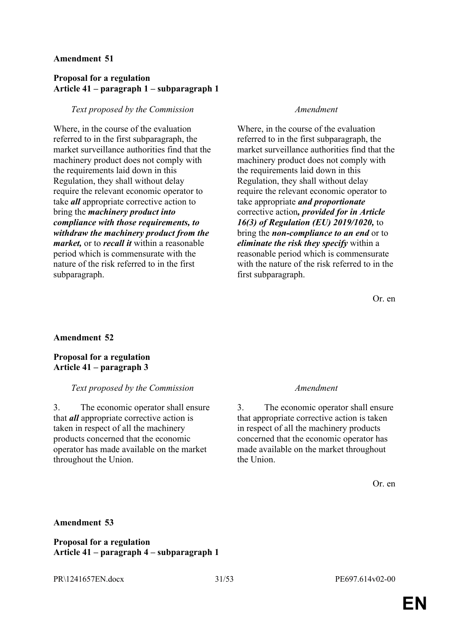### **Proposal for a regulation Article 41 – paragraph 1 – subparagraph 1**

### *Text proposed by the Commission Amendment*

Where, in the course of the evaluation referred to in the first subparagraph, the market surveillance authorities find that the machinery product does not comply with the requirements laid down in this Regulation, they shall without delay require the relevant economic operator to take *all* appropriate corrective action to bring the *machinery product into compliance with those requirements, to withdraw the machinery product from the market,* or to *recall it* within a reasonable period which is commensurate with the nature of the risk referred to in the first subparagraph.

Where, in the course of the evaluation referred to in the first subparagraph, the market surveillance authorities find that the machinery product does not comply with the requirements laid down in this Regulation, they shall without delay require the relevant economic operator to take appropriate *and proportionate* corrective action*, provided for in Article 16(3) of Regulation (EU) 2019/1020,* to bring the *non-compliance to an end* or to *eliminate the risk they specify* within a reasonable period which is commensurate with the nature of the risk referred to in the first subparagraph.

Or. en

### **Amendment 52**

**Proposal for a regulation Article 41 – paragraph 3**

### *Text proposed by the Commission Amendment*

3. The economic operator shall ensure that *all* appropriate corrective action is taken in respect of all the machinery products concerned that the economic operator has made available on the market throughout the Union.

3. The economic operator shall ensure that appropriate corrective action is taken in respect of all the machinery products concerned that the economic operator has made available on the market throughout the Union.

Or. en

### **Amendment 53**

**Proposal for a regulation Article 41 – paragraph 4 – subparagraph 1**

PR\1241657EN.docx 31/53 PE697.614v02-00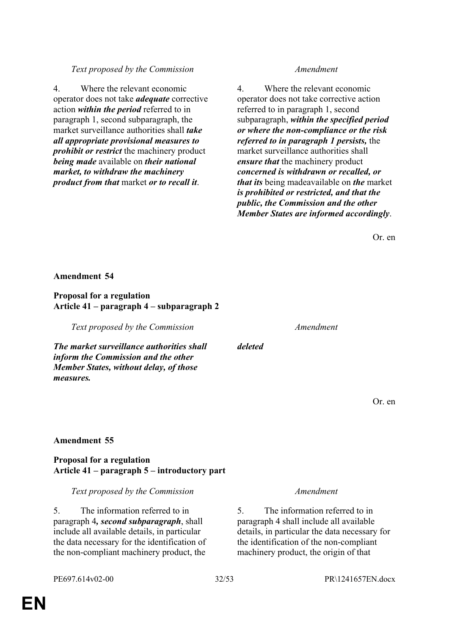**Proposal for a regulation**

### *Text proposed by the Commission Amendment*

4. Where the relevant economic operator does not take *adequate* corrective action *within the period* referred to in paragraph 1, second subparagraph, the market surveillance authorities shall *take all appropriate provisional measures to prohibit or restrict* the machinery product *being made* available on *their national market, to withdraw the machinery product from that* market *or to recall it*.

4. Where the relevant economic operator does not take corrective action referred to in paragraph 1, second subparagraph, *within the specified period or where the non-compliance or the risk referred to in paragraph 1 persists,* the market surveillance authorities shall *ensure that* the machinery product *concerned is withdrawn or recalled, or that its* being madeavailable on *the* market *is prohibited or restricted, and that the public, the Commission and the other Member States are informed accordingly*.

Or. en

### **Amendment 54**

### **Proposal for a regulation Article 41 – paragraph 4 – subparagraph 2**

*Text proposed by the Commission Amendment*

*The market surveillance authorities shall inform the Commission and the other Member States, without delay, of those measures.*

**Article 41 – paragraph 5 – introductory part**

5. The information referred to in paragraph 4*, second subparagraph*, shall include all available details, in particular the data necessary for the identification of the non-compliant machinery product, the

# *deleted*

Or. en

*Text proposed by the Commission Amendment*

5. The information referred to in paragraph 4 shall include all available details, in particular the data necessary for the identification of the non-compliant machinery product, the origin of that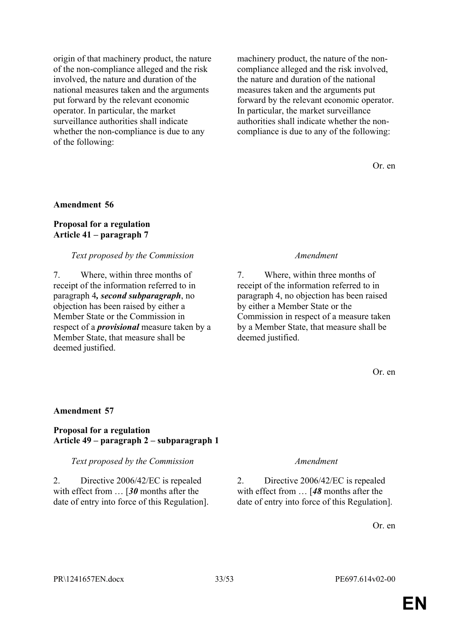origin of that machinery product, the nature of the non-compliance alleged and the risk involved, the nature and duration of the national measures taken and the arguments put forward by the relevant economic operator. In particular, the market surveillance authorities shall indicate whether the non-compliance is due to any of the following:

machinery product, the nature of the noncompliance alleged and the risk involved, the nature and duration of the national measures taken and the arguments put forward by the relevant economic operator. In particular, the market surveillance authorities shall indicate whether the noncompliance is due to any of the following:

Or. en

### **Amendment 56**

### **Proposal for a regulation Article 41 – paragraph 7**

### *Text proposed by the Commission Amendment*

7. Where, within three months of receipt of the information referred to in paragraph 4*, second subparagraph*, no objection has been raised by either a Member State or the Commission in respect of a *provisional* measure taken by a Member State, that measure shall be deemed justified.

7. Where, within three months of receipt of the information referred to in paragraph 4, no objection has been raised by either a Member State or the Commission in respect of a measure taken by a Member State, that measure shall be deemed justified.

Or. en

### **Amendment 57**

### **Proposal for a regulation Article 49 – paragraph 2 – subparagraph 1**

*Text proposed by the Commission Amendment*

2. Directive 2006/42/EC is repealed with effect from … [*30* months after the date of entry into force of this Regulation].

2. Directive 2006/42/EC is repealed with effect from … [*48* months after the date of entry into force of this Regulation].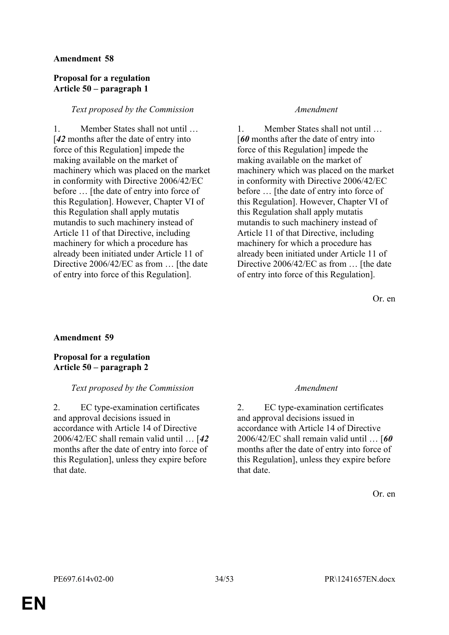### **Proposal for a regulation Article 50 – paragraph 1**

### *Text proposed by the Commission Amendment*

1. Member States shall not until … [*42* months after the date of entry into force of this Regulation] impede the making available on the market of machinery which was placed on the market in conformity with Directive 2006/42/EC before … [the date of entry into force of this Regulation]. However, Chapter VI of this Regulation shall apply mutatis mutandis to such machinery instead of Article 11 of that Directive, including machinery for which a procedure has already been initiated under Article 11 of Directive 2006/42/EC as from ... [the date] of entry into force of this Regulation].

1. Member States shall not until … [*60* months after the date of entry into force of this Regulation] impede the making available on the market of machinery which was placed on the market in conformity with Directive 2006/42/EC before … [the date of entry into force of this Regulation]. However, Chapter VI of this Regulation shall apply mutatis mutandis to such machinery instead of Article 11 of that Directive, including machinery for which a procedure has already been initiated under Article 11 of Directive 2006/42/EC as from ... [the date] of entry into force of this Regulation].

Or. en

### **Amendment 59**

**Proposal for a regulation Article 50 – paragraph 2**

### *Text proposed by the Commission Amendment*

2. EC type-examination certificates and approval decisions issued in accordance with Article 14 of Directive 2006/42/EC shall remain valid until … [*42* months after the date of entry into force of this Regulation], unless they expire before that date.

2. EC type-examination certificates and approval decisions issued in accordance with Article 14 of Directive 2006/42/EC shall remain valid until … [*60* months after the date of entry into force of this Regulation], unless they expire before that date.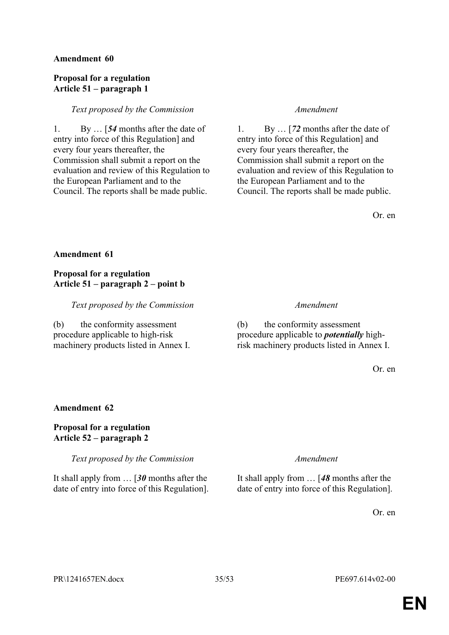### **Proposal for a regulation Article 51 – paragraph 1**

### *Text proposed by the Commission Amendment*

1. By … [*54* months after the date of entry into force of this Regulation] and every four years thereafter, the Commission shall submit a report on the evaluation and review of this Regulation to the European Parliament and to the Council. The reports shall be made public.

1. By … [*72* months after the date of entry into force of this Regulation] and every four years thereafter, the Commission shall submit a report on the evaluation and review of this Regulation to the European Parliament and to the Council. The reports shall be made public.

Or. en

### **Amendment 61**

### **Proposal for a regulation Article 51 – paragraph 2 – point b**

### *Text proposed by the Commission Amendment*

(b) the conformity assessment procedure applicable to high-risk machinery products listed in Annex I.

(b) the conformity assessment procedure applicable to *potentially* highrisk machinery products listed in Annex I.

Or. en

### **Amendment 62**

### **Proposal for a regulation Article 52 – paragraph 2**

*Text proposed by the Commission Amendment*

It shall apply from … [*30* months after the date of entry into force of this Regulation].

It shall apply from … [*48* months after the date of entry into force of this Regulation].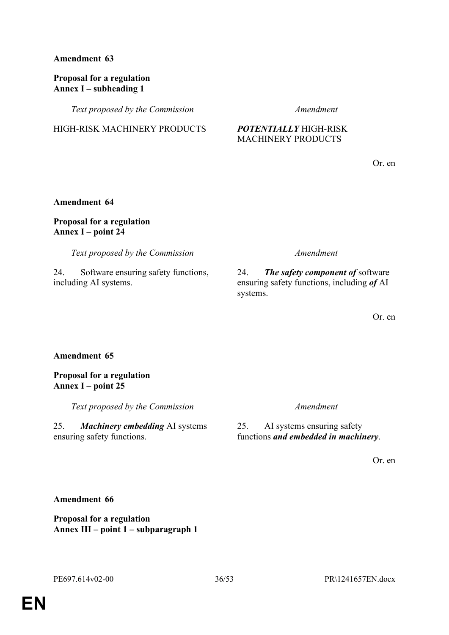### **Proposal for a regulation Annex I – subheading 1**

*Text proposed by the Commission Amendment*

### HIGH-RISK MACHINERY PRODUCTS *POTENTIALLY* HIGH-RISK MACHINERY PRODUCTS

Or. en

### **Amendment 64**

### **Proposal for a regulation Annex I – point 24**

*Text proposed by the Commission Amendment*

24. Software ensuring safety functions, including AI systems.

24. *The safety component of* software ensuring safety functions, including *of* AI systems.

Or. en

### **Amendment 65**

**Proposal for a regulation Annex I – point 25**

*Text proposed by the Commission Amendment*

25. *Machinery embedding* AI systems ensuring safety functions.

25. AI systems ensuring safety functions *and embedded in machinery*.

Or. en

**Amendment 66**

**Proposal for a regulation Annex III – point 1 – subparagraph 1**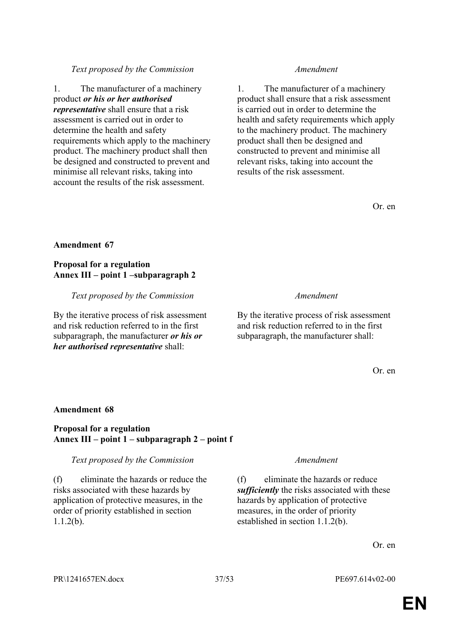# *Text proposed by the Commission Amendment*

1. The manufacturer of a machinery product *or his or her authorised representative* shall ensure that a risk assessment is carried out in order to determine the health and safety requirements which apply to the machinery product. The machinery product shall then be designed and constructed to prevent and minimise all relevant risks, taking into account the results of the risk assessment.

1. The manufacturer of a machinery product shall ensure that a risk assessment is carried out in order to determine the health and safety requirements which apply to the machinery product. The machinery product shall then be designed and constructed to prevent and minimise all relevant risks, taking into account the results of the risk assessment.

Or. en

### **Amendment 67**

# **Proposal for a regulation Annex III – point 1 –subparagraph 2**

*Text proposed by the Commission Amendment*

By the iterative process of risk assessment and risk reduction referred to in the first subparagraph, the manufacturer *or his or her authorised representative* shall:

By the iterative process of risk assessment and risk reduction referred to in the first subparagraph, the manufacturer shall:

Or. en

# **Amendment 68**

### **Proposal for a regulation Annex III – point 1 – subparagraph 2 – point f**

### *Text proposed by the Commission Amendment*

(f) eliminate the hazards or reduce the risks associated with these hazards by application of protective measures, in the order of priority established in section 1.1.2(b).

(f) eliminate the hazards or reduce *sufficiently* the risks associated with these hazards by application of protective measures, in the order of priority established in section 1.1.2(b).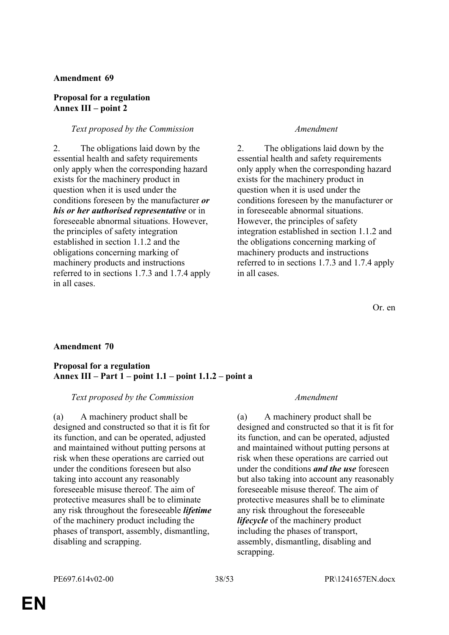### **Proposal for a regulation Annex III – point 2**

### *Text proposed by the Commission Amendment*

2. The obligations laid down by the essential health and safety requirements only apply when the corresponding hazard exists for the machinery product in question when it is used under the conditions foreseen by the manufacturer *or his or her authorised representative* or in foreseeable abnormal situations. However, the principles of safety integration established in section 1.1.2 and the obligations concerning marking of machinery products and instructions referred to in sections 1.7.3 and 1.7.4 apply in all cases.

2. The obligations laid down by the essential health and safety requirements only apply when the corresponding hazard exists for the machinery product in question when it is used under the conditions foreseen by the manufacturer or in foreseeable abnormal situations. However, the principles of safety integration established in section 1.1.2 and the obligations concerning marking of machinery products and instructions referred to in sections 1.7.3 and 1.7.4 apply in all cases.

Or. en

### **Amendment 70**

### **Proposal for a regulation Annex III – Part 1 – point 1.1 – point 1.1.2 – point a**

### *Text proposed by the Commission Amendment*

(a) A machinery product shall be designed and constructed so that it is fit for its function, and can be operated, adjusted and maintained without putting persons at risk when these operations are carried out under the conditions foreseen but also taking into account any reasonably foreseeable misuse thereof. The aim of protective measures shall be to eliminate any risk throughout the foreseeable *lifetime* of the machinery product including the phases of transport, assembly, dismantling, disabling and scrapping.

(a) A machinery product shall be designed and constructed so that it is fit for its function, and can be operated, adjusted and maintained without putting persons at risk when these operations are carried out under the conditions *and the use* foreseen but also taking into account any reasonably foreseeable misuse thereof. The aim of protective measures shall be to eliminate any risk throughout the foreseeable *lifecycle* of the machinery product including the phases of transport, assembly, dismantling, disabling and scrapping.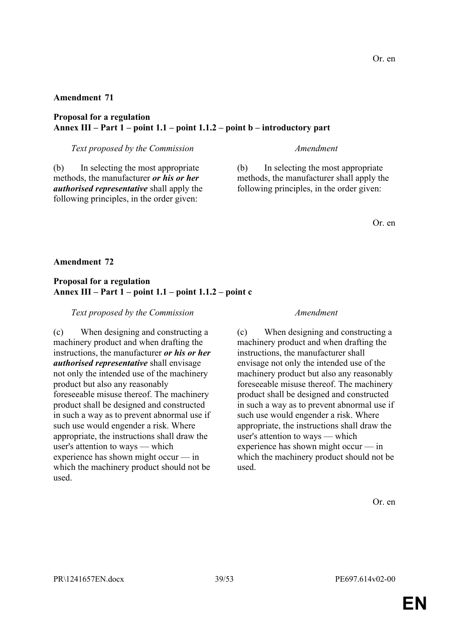# **Proposal for a regulation Annex III – Part 1 – point 1.1 – point 1.1.2 – point b – introductory part**

# *Text proposed by the Commission Amendment*

(b) In selecting the most appropriate methods, the manufacturer *or his or her authorised representative* shall apply the following principles, in the order given:

(b) In selecting the most appropriate methods, the manufacturer shall apply the following principles, in the order given:

Or. en

### **Amendment 72**

### **Proposal for a regulation Annex III – Part 1 – point 1.1 – point 1.1.2 – point c**

*Text proposed by the Commission Amendment*

(c) When designing and constructing a machinery product and when drafting the instructions, the manufacturer *or his or her authorised representative* shall envisage not only the intended use of the machinery product but also any reasonably foreseeable misuse thereof. The machinery product shall be designed and constructed in such a way as to prevent abnormal use if such use would engender a risk. Where appropriate, the instructions shall draw the user's attention to ways — which experience has shown might occur — in which the machinery product should not be used.

(c) When designing and constructing a machinery product and when drafting the instructions, the manufacturer shall envisage not only the intended use of the machinery product but also any reasonably foreseeable misuse thereof. The machinery product shall be designed and constructed in such a way as to prevent abnormal use if such use would engender a risk. Where appropriate, the instructions shall draw the user's attention to ways — which experience has shown might occur — in which the machinery product should not be used.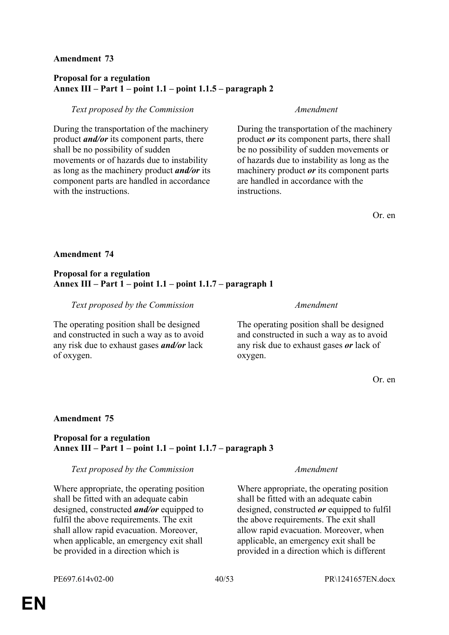# **Proposal for a regulation Annex III – Part 1 – point 1.1 – point 1.1.5 – paragraph 2**

### *Text proposed by the Commission Amendment*

During the transportation of the machinery product *and/or* its component parts, there shall be no possibility of sudden movements or of hazards due to instability as long as the machinery product *and/or* its component parts are handled in accordance with the instructions.

During the transportation of the machinery product *or* its component parts, there shall be no possibility of sudden movements or of hazards due to instability as long as the machinery product *or* its component parts are handled in accordance with the instructions.

Or. en

### **Amendment 74**

### **Proposal for a regulation Annex III – Part 1 – point 1.1 – point 1.1.7 – paragraph 1**

### *Text proposed by the Commission Amendment*

The operating position shall be designed and constructed in such a way as to avoid any risk due to exhaust gases *and/or* lack of oxygen.

The operating position shall be designed and constructed in such a way as to avoid any risk due to exhaust gases *or* lack of oxygen.

Or. en

### **Amendment 75**

### **Proposal for a regulation Annex III – Part 1 – point 1.1 – point 1.1.7 – paragraph 3**

### *Text proposed by the Commission Amendment*

Where appropriate, the operating position shall be fitted with an adequate cabin designed, constructed *and/or* equipped to fulfil the above requirements. The exit shall allow rapid evacuation. Moreover, when applicable, an emergency exit shall be provided in a direction which is

Where appropriate, the operating position shall be fitted with an adequate cabin designed, constructed *or* equipped to fulfil the above requirements. The exit shall allow rapid evacuation. Moreover, when applicable, an emergency exit shall be provided in a direction which is different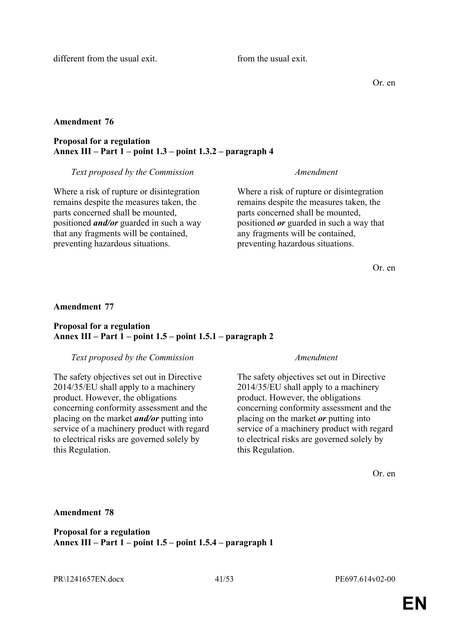different from the usual exit. The state of the usual exit.

Or. en

### **Amendment 76**

### **Proposal for a regulation Annex III – Part 1 – point 1.3 – point 1.3.2 – paragraph 4**

### *Text proposed by the Commission Amendment*

Where a risk of rupture or disintegration remains despite the measures taken, the parts concerned shall be mounted, positioned *and/or* guarded in such a way that any fragments will be contained, preventing hazardous situations.

Where a risk of rupture or disintegration remains despite the measures taken, the parts concerned shall be mounted, positioned *or* guarded in such a way that any fragments will be contained, preventing hazardous situations.

Or. en

### **Amendment 77**

### **Proposal for a regulation Annex III – Part 1 – point 1.5 – point 1.5.1 – paragraph 2**

### *Text proposed by the Commission Amendment*

The safety objectives set out in Directive 2014/35/EU shall apply to a machinery product. However, the obligations concerning conformity assessment and the placing on the market *and/or* putting into service of a machinery product with regard to electrical risks are governed solely by this Regulation.

The safety objectives set out in Directive 2014/35/EU shall apply to a machinery product. However, the obligations concerning conformity assessment and the placing on the market *or* putting into service of a machinery product with regard to electrical risks are governed solely by this Regulation.

Or. en

### **Amendment 78**

**Proposal for a regulation Annex III – Part 1 – point 1.5 – point 1.5.4 – paragraph 1**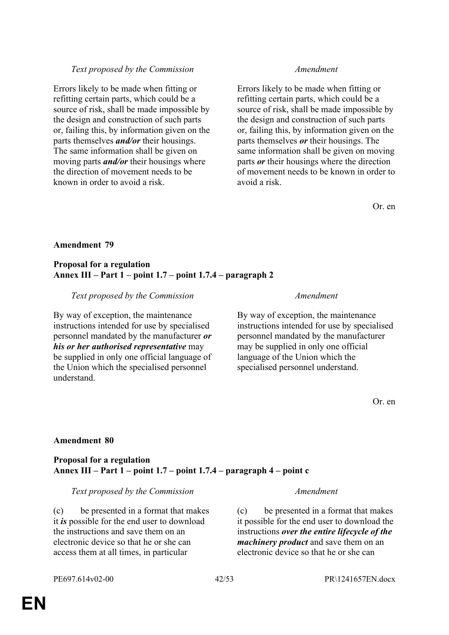### *Text proposed by the Commission Amendment*

Errors likely to be made when fitting or refitting certain parts, which could be a source of risk, shall be made impossible by the design and construction of such parts or, failing this, by information given on the parts themselves *and/or* their housings. The same information shall be given on moving parts *and/or* their housings where the direction of movement needs to be known in order to avoid a risk.

Errors likely to be made when fitting or refitting certain parts, which could be a source of risk, shall be made impossible by the design and construction of such parts or, failing this, by information given on the parts themselves *or* their housings. The same information shall be given on moving parts *or* their housings where the direction of movement needs to be known in order to avoid a risk.

Or. en

### **Amendment 79**

### **Proposal for a regulation Annex III – Part 1 – point 1.7 – point 1.7.4 – paragraph 2**

### *Text proposed by the Commission Amendment*

By way of exception, the maintenance instructions intended for use by specialised personnel mandated by the manufacturer *or his or her authorised representative* may be supplied in only one official language of the Union which the specialised personnel understand.

By way of exception, the maintenance instructions intended for use by specialised personnel mandated by the manufacturer may be supplied in only one official language of the Union which the specialised personnel understand.

Or. en

### **Amendment 80**

### **Proposal for a regulation Annex III – Part 1 – point 1.7 – point 1.7.4 – paragraph 4 – point c**

### *Text proposed by the Commission Amendment*

(c) be presented in a format that makes it *is* possible for the end user to download the instructions and save them on an electronic device so that he or she can access them at all times, in particular

(c) be presented in a format that makes it possible for the end user to download the instructions *over the entire lifecycle of the machinery product* and save them on an electronic device so that he or she can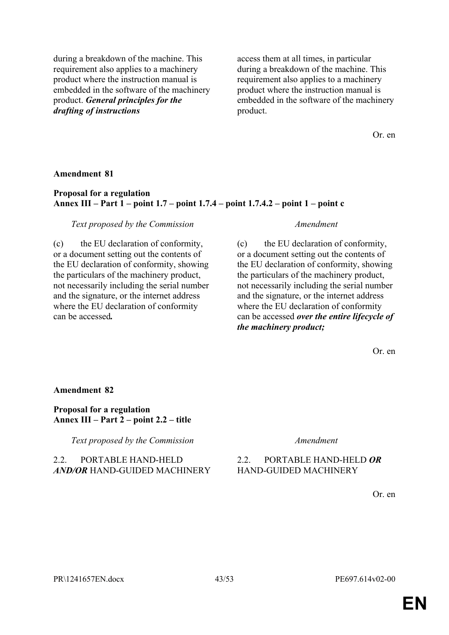during a breakdown of the machine. This requirement also applies to a machinery product where the instruction manual is embedded in the software of the machinery product. *General principles for the drafting of instructions*

access them at all times, in particular during a breakdown of the machine. This requirement also applies to a machinery product where the instruction manual is embedded in the software of the machinery product.

Or. en

### **Amendment 81**

### **Proposal for a regulation Annex III – Part 1 – point 1.7 – point 1.7.4 – point 1.7.4.2 – point 1 – point c**

### *Text proposed by the Commission Amendment*

(c) the EU declaration of conformity, or a document setting out the contents of the EU declaration of conformity, showing the particulars of the machinery product, not necessarily including the serial number and the signature, or the internet address where the EU declaration of conformity can be accessed*.*

(c) the EU declaration of conformity, or a document setting out the contents of the EU declaration of conformity, showing the particulars of the machinery product, not necessarily including the serial number and the signature, or the internet address where the EU declaration of conformity can be accessed *over the entire lifecycle of the machinery product;*

Or. en

### **Amendment 82**

### **Proposal for a regulation Annex III – Part 2 – point 2.2 – title**

*Text proposed by the Commission Amendment*

### 2.2. PORTABLE HAND-HELD *AND/OR* HAND-GUIDED MACHINERY

### 2.2. PORTABLE HAND-HELD *OR* HAND-GUIDED MACHINERY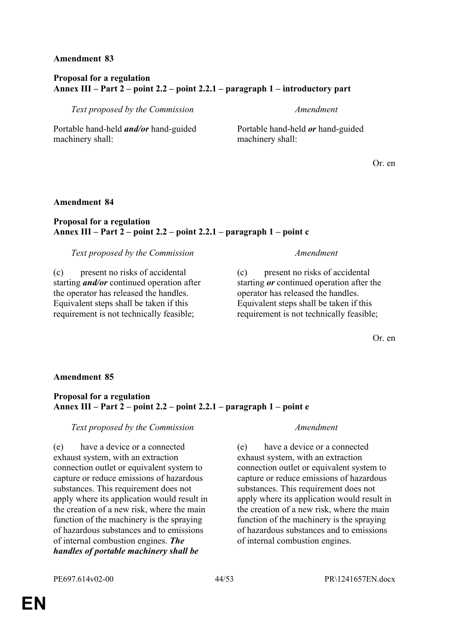# **Proposal for a regulation Annex III – Part 2 – point 2.2 – point 2.2.1 – paragraph 1 – introductory part**

*Text proposed by the Commission Amendment*

Portable hand-held *and/or* hand-guided machinery shall:

Portable hand-held *or* hand-guided machinery shall:

Or. en

### **Amendment 84**

### **Proposal for a regulation Annex III – Part 2 – point 2.2 – point 2.2.1 – paragraph 1 – point c**

### *Text proposed by the Commission Amendment*

(c) present no risks of accidental starting *and/or* continued operation after the operator has released the handles. Equivalent steps shall be taken if this requirement is not technically feasible;

(c) present no risks of accidental starting *or* continued operation after the operator has released the handles. Equivalent steps shall be taken if this requirement is not technically feasible;

Or. en

### **Amendment 85**

# **Proposal for a regulation Annex III – Part 2 – point 2.2 – point 2.2.1 – paragraph 1 – point e**

### *Text proposed by the Commission Amendment*

(e) have a device or a connected exhaust system, with an extraction connection outlet or equivalent system to capture or reduce emissions of hazardous substances. This requirement does not apply where its application would result in the creation of a new risk, where the main function of the machinery is the spraying of hazardous substances and to emissions of internal combustion engines. *The handles of portable machinery shall be* 

(e) have a device or a connected exhaust system, with an extraction connection outlet or equivalent system to capture or reduce emissions of hazardous substances. This requirement does not apply where its application would result in the creation of a new risk, where the main function of the machinery is the spraying of hazardous substances and to emissions of internal combustion engines.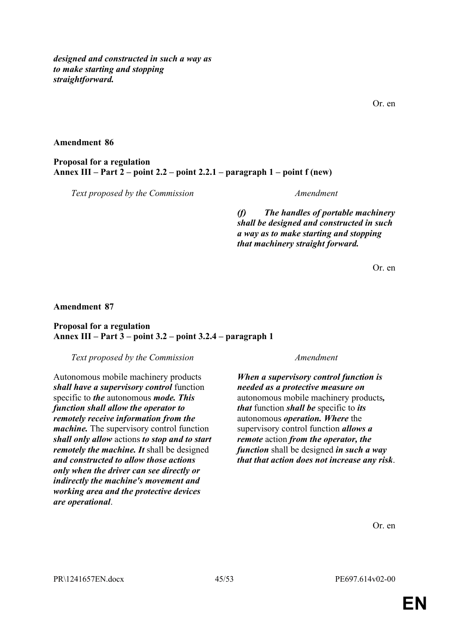*designed and constructed in such a way as to make starting and stopping straightforward.*

Or. en

### **Amendment 86**

**Proposal for a regulation Annex III – Part 2 – point 2.2 – point 2.2.1 – paragraph 1 – point f (new)**

*Text proposed by the Commission Amendment*

*(f) The handles of portable machinery shall be designed and constructed in such a way as to make starting and stopping that machinery straight forward.*

Or. en

### **Amendment 87**

### **Proposal for a regulation Annex III – Part 3 – point 3.2 – point 3.2.4 – paragraph 1**

### *Text proposed by the Commission Amendment*

Autonomous mobile machinery products *shall have a supervisory control* function specific to *the* autonomous *mode. This function shall allow the operator to remotely receive information from the machine.* The supervisory control function *shall only allow* actions *to stop and to start remotely the machine. It* shall be designed *and constructed to allow those actions only when the driver can see directly or indirectly the machine's movement and working area and the protective devices are operational*.

*When a supervisory control function is needed as a protective measure on* autonomous mobile machinery products*, that* function *shall be* specific to *its* autonomous *operation. Where* the supervisory control function *allows a remote* action *from the operator, the function* shall be designed *in such a way that that action does not increase any risk*.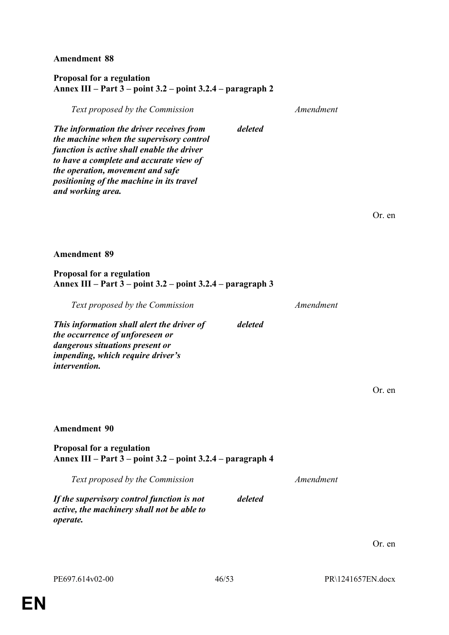### **Proposal for a regulation Annex III – Part 3 – point 3.2 – point 3.2.4 – paragraph 2**

| Text proposed by the Commission         |         | Amendment |
|-----------------------------------------|---------|-----------|
| he information the driver receives from | deleted |           |

*The information the driver receives from the machine when the supervisory control function is active shall enable the driver to have a complete and accurate view of the operation, movement and safe positioning of the machine in its travel and working area.*

Or. en

### **Amendment 89**

### **Proposal for a regulation Annex III – Part 3 – point 3.2 – point 3.2.4 – paragraph 3**

*Text proposed by the Commission Amendment This information shall alert the driver of the occurrence of unforeseen or dangerous situations present or impending, which require driver's intervention. deleted*

Or. en

### **Amendment 90**

### **Proposal for a regulation Annex III – Part 3 – point 3.2 – point 3.2.4 – paragraph 4**

*Text proposed by the Commission Amendment*

*If the supervisory control function is not active, the machinery shall not be able to operate.*

Or. en

*deleted*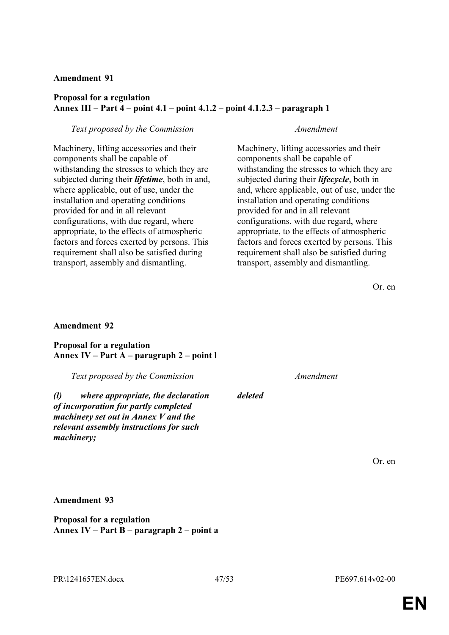### **Proposal for a regulation Annex III – Part 4 – point 4.1 – point 4.1.2 – point 4.1.2.3 – paragraph 1**

### *Text proposed by the Commission Amendment*

### Machinery, lifting accessories and their components shall be capable of withstanding the stresses to which they are subjected during their *lifetime*, both in and, where applicable, out of use, under the installation and operating conditions provided for and in all relevant configurations, with due regard, where appropriate, to the effects of atmospheric factors and forces exerted by persons. This requirement shall also be satisfied during transport, assembly and dismantling.

Machinery, lifting accessories and their components shall be capable of withstanding the stresses to which they are subjected during their *lifecycle*, both in and, where applicable, out of use, under the installation and operating conditions provided for and in all relevant configurations, with due regard, where appropriate, to the effects of atmospheric factors and forces exerted by persons. This requirement shall also be satisfied during transport, assembly and dismantling.

Or. en

### **Amendment 92**

### **Proposal for a regulation Annex IV – Part A – paragraph 2 – point l**

*Text proposed by the Commission Amendment*

*(l) where appropriate, the declaration of incorporation for partly completed machinery set out in Annex V and the relevant assembly instructions for such machinery;*

*deleted*

Or. en

### **Amendment 93**

**Proposal for a regulation Annex IV – Part B – paragraph 2 – point a**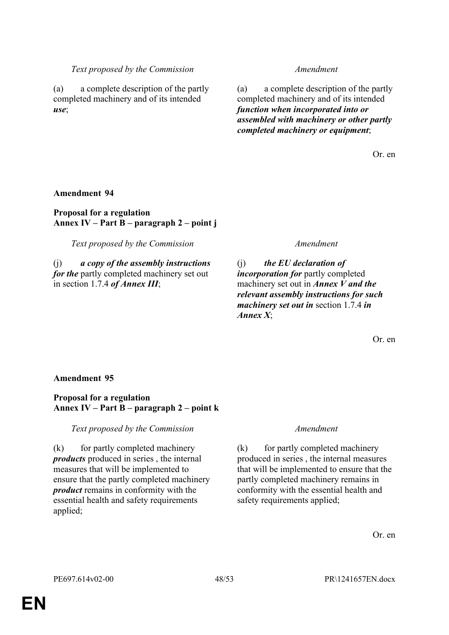### *Text proposed by the Commission Amendment*

(a) a complete description of the partly completed machinery and of its intended *use*;

(a) a complete description of the partly completed machinery and of its intended *function when incorporated into or assembled with machinery or other partly completed machinery or equipment*;

Or. en

### **Amendment 94**

### **Proposal for a regulation Annex IV – Part B – paragraph 2 – point j**

*Text proposed by the Commission Amendment*

(j) *a copy of the assembly instructions for the* partly completed machinery set out in section 1.7.4 *of Annex III*;

(j) *the EU declaration of incorporation for* partly completed machinery set out in *Annex V and the relevant assembly instructions for such machinery set out in* section 1.7.4 *in Annex X*;

Or. en

### **Amendment 95**

### **Proposal for a regulation Annex IV – Part B – paragraph 2 – point k**

*Text proposed by the Commission Amendment*

 $(k)$  for partly completed machinery *products* produced in series , the internal measures that will be implemented to ensure that the partly completed machinery *product* remains in conformity with the essential health and safety requirements applied;

(k) for partly completed machinery produced in series , the internal measures that will be implemented to ensure that the partly completed machinery remains in conformity with the essential health and safety requirements applied;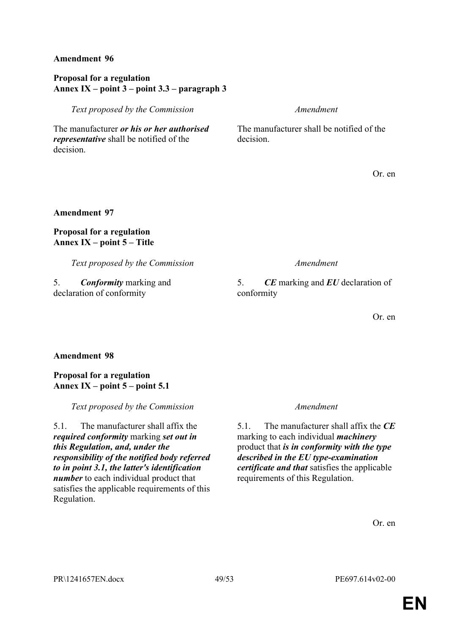### **Proposal for a regulation Annex IX – point 3 – point 3.3 – paragraph 3**

*Text proposed by the Commission Amendment*

The manufacturer *or his or her authorised representative* shall be notified of the decision.

The manufacturer shall be notified of the decision.

Or. en

**Amendment 97**

# **Proposal for a regulation Annex IX – point 5 – Title**

*Text proposed by the Commission Amendment*

5. *Conformity* marking and declaration of conformity

5. *CE* marking and *EU* declaration of conformity

Or. en

### **Amendment 98**

### **Proposal for a regulation Annex IX – point 5 – point 5.1**

*Text proposed by the Commission Amendment*

5.1. The manufacturer shall affix the *required conformity* marking *set out in this Regulation, and, under the responsibility of the notified body referred to in point 3.1, the latter's identification number* to each individual product that satisfies the applicable requirements of this Regulation.

5.1. The manufacturer shall affix the *CE* marking to each individual *machinery* product that *is in conformity with the type described in the EU type-examination certificate and that* satisfies the applicable requirements of this Regulation.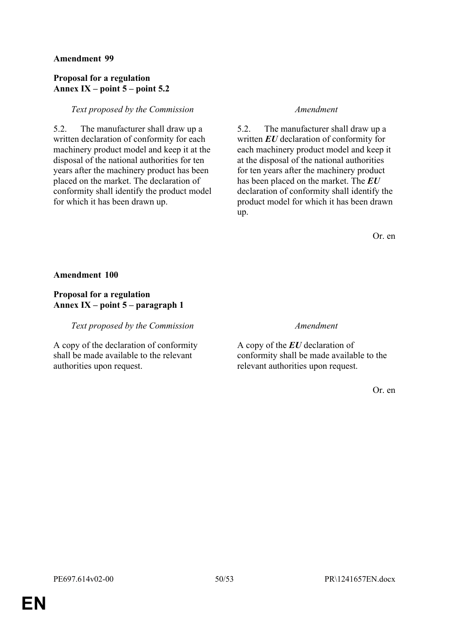### **Proposal for a regulation Annex IX – point 5 – point 5.2**

### *Text proposed by the Commission Amendment*

5.2. The manufacturer shall draw up a written declaration of conformity for each machinery product model and keep it at the disposal of the national authorities for ten years after the machinery product has been placed on the market. The declaration of conformity shall identify the product model for which it has been drawn up.

5.2. The manufacturer shall draw up a written *EU* declaration of conformity for each machinery product model and keep it at the disposal of the national authorities for ten years after the machinery product has been placed on the market. The *EU* declaration of conformity shall identify the product model for which it has been drawn up.

Or. en

**Amendment 100**

### **Proposal for a regulation Annex IX – point 5 – paragraph 1**

*Text proposed by the Commission Amendment*

A copy of the declaration of conformity shall be made available to the relevant authorities upon request.

A copy of the *EU* declaration of conformity shall be made available to the relevant authorities upon request.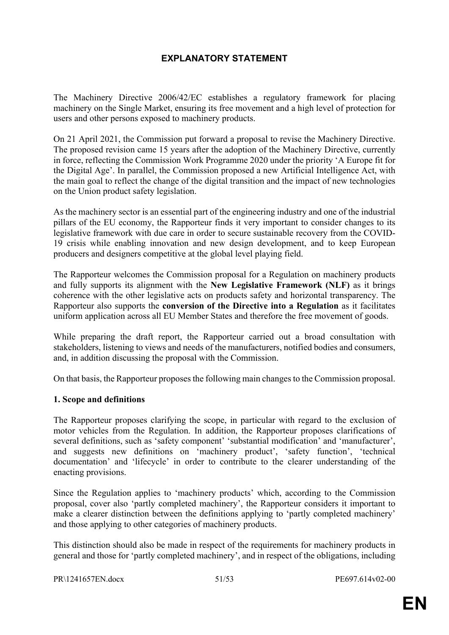# <span id="page-50-0"></span>**EXPLANATORY STATEMENT**

The Machinery Directive 2006/42/EC establishes a regulatory framework for placing machinery on the Single Market, ensuring its free movement and a high level of protection for users and other persons exposed to machinery products.

On 21 April 2021, the Commission put forward a proposal to revise the Machinery Directive. The proposed revision came 15 years after the adoption of the Machinery Directive, currently in force, reflecting the Commission Work Programme 2020 under the priority 'A Europe fit for the Digital Age'. In parallel, the Commission proposed a new Artificial Intelligence Act, with the main goal to reflect the change of the digital transition and the impact of new technologies on the Union product safety legislation.

As the machinery sector is an essential part of the engineering industry and one of the industrial pillars of the EU economy, the Rapporteur finds it very important to consider changes to its legislative framework with due care in order to secure sustainable recovery from the COVID-19 crisis while enabling innovation and new design development, and to keep European producers and designers competitive at the global level playing field.

The Rapporteur welcomes the Commission proposal for a Regulation on machinery products and fully supports its alignment with the **New Legislative Framework (NLF)** as it brings coherence with the other legislative acts on products safety and horizontal transparency. The Rapporteur also supports the **conversion of the Directive into a Regulation** as it facilitates uniform application across all EU Member States and therefore the free movement of goods.

While preparing the draft report, the Rapporteur carried out a broad consultation with stakeholders, listening to views and needs of the manufacturers, notified bodies and consumers, and, in addition discussing the proposal with the Commission.

On that basis, the Rapporteur proposes the following main changes to the Commission proposal.

### **1. Scope and definitions**

The Rapporteur proposes clarifying the scope, in particular with regard to the exclusion of motor vehicles from the Regulation. In addition, the Rapporteur proposes clarifications of several definitions, such as 'safety component' 'substantial modification' and 'manufacturer', and suggests new definitions on 'machinery product', 'safety function', 'technical documentation' and 'lifecycle' in order to contribute to the clearer understanding of the enacting provisions.

Since the Regulation applies to 'machinery products' which, according to the Commission proposal, cover also 'partly completed machinery', the Rapporteur considers it important to make a clearer distinction between the definitions applying to 'partly completed machinery' and those applying to other categories of machinery products.

This distinction should also be made in respect of the requirements for machinery products in general and those for 'partly completed machinery', and in respect of the obligations, including

PR\1241657EN.docx 51/53 PE697.614v02-00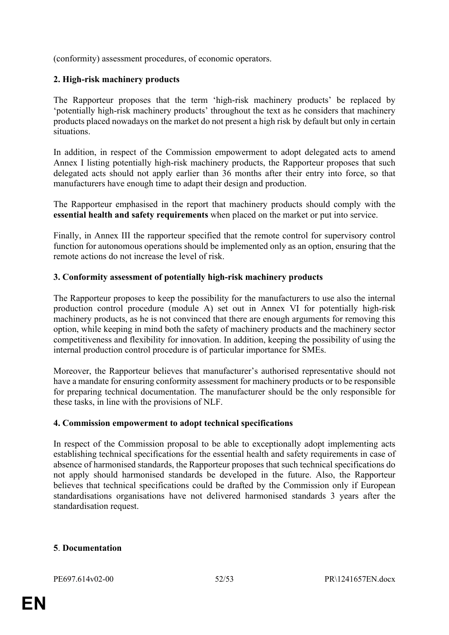(conformity) assessment procedures, of economic operators.

# **2. High-risk machinery products**

The Rapporteur proposes that the term 'high-risk machinery products' be replaced by 'potentially high-risk machinery products' throughout the text as he considers that machinery products placed nowadays on the market do not present a high risk by default but only in certain situations.

In addition, in respect of the Commission empowerment to adopt delegated acts to amend Annex I listing potentially high-risk machinery products, the Rapporteur proposes that such delegated acts should not apply earlier than 36 months after their entry into force, so that manufacturers have enough time to adapt their design and production.

The Rapporteur emphasised in the report that machinery products should comply with the **essential health and safety requirements** when placed on the market or put into service.

Finally, in Annex III the rapporteur specified that the remote control for supervisory control function for autonomous operations should be implemented only as an option, ensuring that the remote actions do not increase the level of risk.

### **3. Conformity assessment of potentially high-risk machinery products**

The Rapporteur proposes to keep the possibility for the manufacturers to use also the internal production control procedure (module A) set out in Annex VI for potentially high-risk machinery products, as he is not convinced that there are enough arguments for removing this option, while keeping in mind both the safety of machinery products and the machinery sector competitiveness and flexibility for innovation. In addition, keeping the possibility of using the internal production control procedure is of particular importance for SMEs.

Moreover, the Rapporteur believes that manufacturer's authorised representative should not have a mandate for ensuring conformity assessment for machinery products or to be responsible for preparing technical documentation. The manufacturer should be the only responsible for these tasks, in line with the provisions of NLF.

### **4. Commission empowerment to adopt technical specifications**

In respect of the Commission proposal to be able to exceptionally adopt implementing acts establishing technical specifications for the essential health and safety requirements in case of absence of harmonised standards, the Rapporteur proposes that such technical specifications do not apply should harmonised standards be developed in the future. Also, the Rapporteur believes that technical specifications could be drafted by the Commission only if European standardisations organisations have not delivered harmonised standards 3 years after the standardisation request.

### **5**. **Documentation**